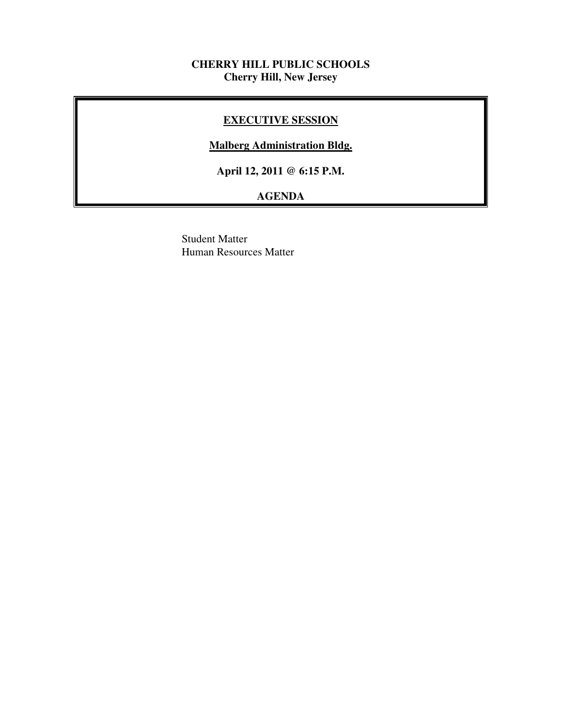### **CHERRY HILL PUBLIC SCHOOLS Cherry Hill, New Jersey**

### **EXECUTIVE SESSION**

### **Malberg Administration Bldg.**

 **April 12, 2011 @ 6:15 P.M.** 

## **AGENDA**

 Student Matter Human Resources Matter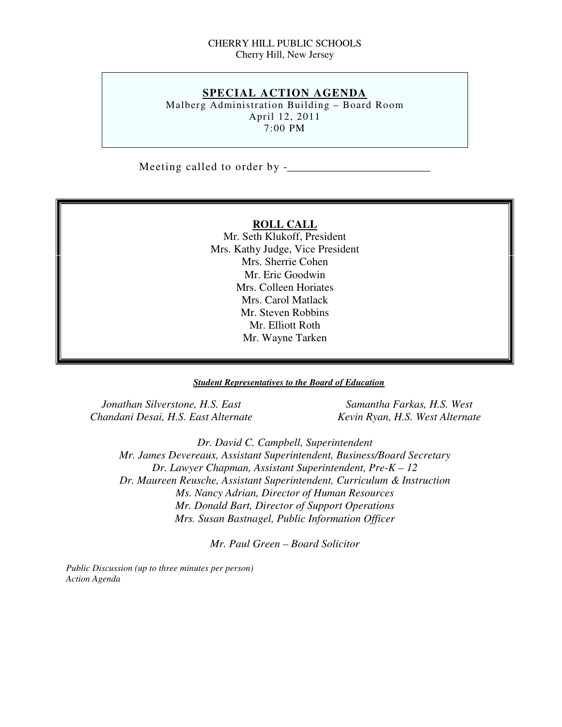### CHERRY HILL PUBLIC SCHOOLS Cherry Hill, New Jersey

### **SPECIAL ACTION AGENDA**

 Malberg Administration Building – Board Room April 12, 2011 7:00 PM

Meeting called to order by -\_\_\_\_\_\_\_\_\_\_\_\_\_\_\_\_\_\_\_\_\_\_\_\_\_\_

### **ROLL CALL**

 Mr. Seth Klukoff, President Mrs. Kathy Judge, Vice President Mrs. Sherrie Cohen Mr. Eric Goodwin Mrs. Colleen Horiates Mrs. Carol Matlack Mr. Steven Robbins Mr. Elliott Roth Mr. Wayne Tarken

### *Student Representatives to the Board of Education*

*<u>Jonathan Silverstone, H.S. East Samantha Farkas, H.S. West* Samantha Farkas, H.S. West</u>  *Chandani Desai, H.S. East Alternate Kevin Ryan, H.S. West Alternate* 

 *Dr. David C. Campbell, Superintendent Mr. James Devereaux, Assistant Superintendent, Business/Board Secretary Dr. Lawyer Chapman, Assistant Superintendent, Pre-K – 12 Dr. Maureen Reusche, Assistant Superintendent, Curriculum & Instruction Ms. Nancy Adrian, Director of Human Resources Mr. Donald Bart, Director of Support Operations Mrs. Susan Bastnagel, Public Information Officer* 

 *Mr. Paul Green – Board Solicitor* 

 *Public Discussion (up to three minutes per person) Action Agenda*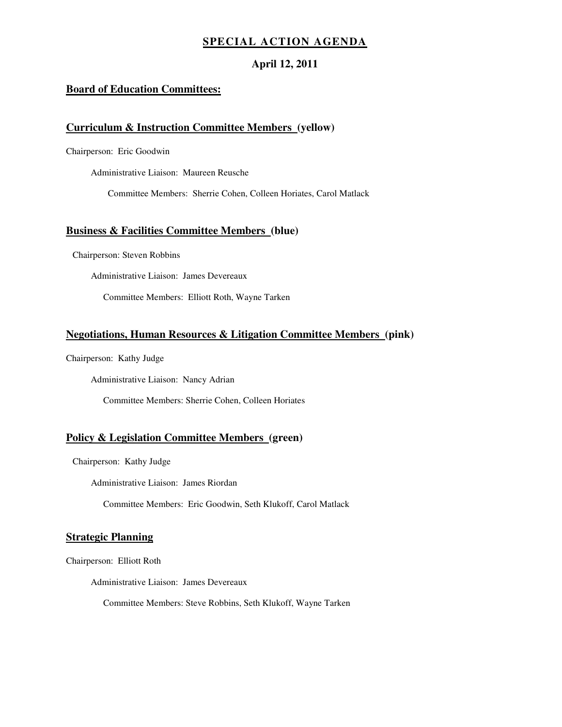### **SPECIAL ACTION AGENDA**

### **April 12, 2011**

### **Board of Education Committees:**

### **Curriculum & Instruction Committee Members (yellow)**

Chairperson: Eric Goodwin

Administrative Liaison: Maureen Reusche

Committee Members: Sherrie Cohen, Colleen Horiates, Carol Matlack

### **Business & Facilities Committee Members (blue)**

Chairperson: Steven Robbins

Administrative Liaison: James Devereaux

Committee Members: Elliott Roth, Wayne Tarken

### **Negotiations, Human Resources & Litigation Committee Members (pink)**

Chairperson: Kathy Judge

Administrative Liaison: Nancy Adrian

Committee Members: Sherrie Cohen, Colleen Horiates

### **Policy & Legislation Committee Members (green)**

Chairperson: Kathy Judge

Administrative Liaison: James Riordan

Committee Members: Eric Goodwin, Seth Klukoff, Carol Matlack

### **Strategic Planning**

Chairperson: Elliott Roth

Administrative Liaison: James Devereaux

Committee Members: Steve Robbins, Seth Klukoff, Wayne Tarken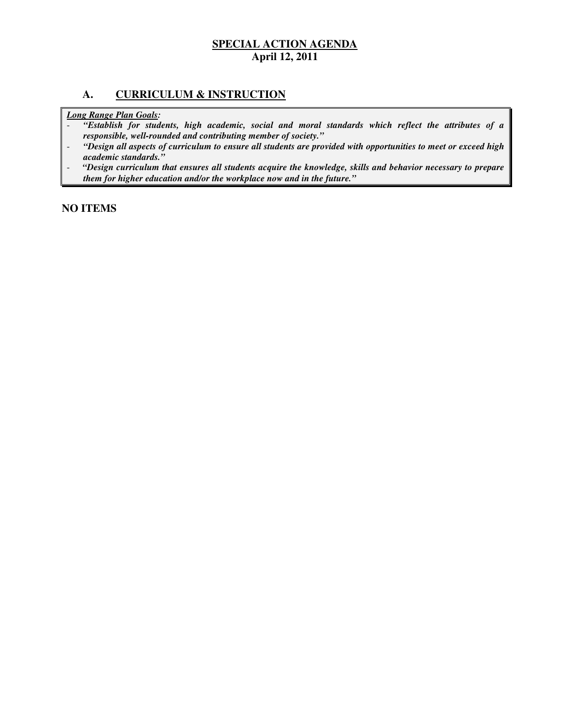### **A. CURRICULUM & INSTRUCTION**

 *Long Range Plan Goals:* 

- *"Establish for students, high academic, social and moral standards which reflect the attributes of a responsible, well-rounded and contributing member of society."*
- *"Design all aspects of curriculum to ensure all students are provided with opportunities to meet or exceed high academic standards."*
- *"Design curriculum that ensures all students acquire the knowledge, skills and behavior necessary to prepare them for higher education and/or the workplace now and in the future."*

 **NO ITEMS**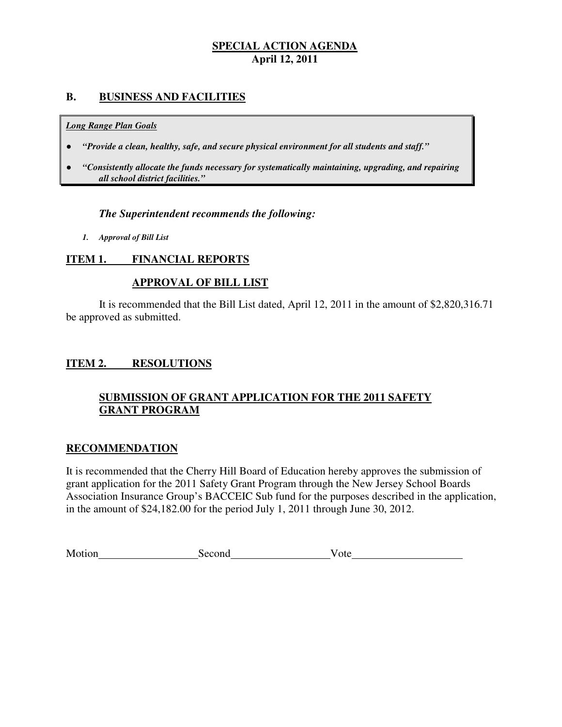### **B. BUSINESS AND FACILITIES**

### *Long Range Plan Goals*

- *"Provide a clean, healthy, safe, and secure physical environment for all students and staff."*
- *all school district facilities."*  ● *"Consistently allocate the funds necessary for systematically maintaining, upgrading, and repairing*

### *The Superintendent recommends the following:*

 *1. Approval of Bill List* 

#### **ITEM 1. FINANCIAL REPORTS**

### **APPROVAL OF BILL LIST**

 be approved as submitted. It is recommended that the Bill List dated, April 12, 2011 in the amount of \$2,820,316.71

#### **ITEM 2. RESOLUTIONS**

### **SUBMISSION OF GRANT APPLICATION FOR THE 2011 SAFETY GRANT PROGRAM**

### **RECOMMENDATION**

 It is recommended that the Cherry Hill Board of Education hereby approves the submission of grant application for the 2011 Safety Grant Program through the New Jersey School Boards Association Insurance Group's BACCEIC Sub fund for the purposes described in the application, in the amount of \$24,182.00 for the period July 1, 2011 through June 30, 2012.

|  | Motion | Second | v ote |  |
|--|--------|--------|-------|--|
|--|--------|--------|-------|--|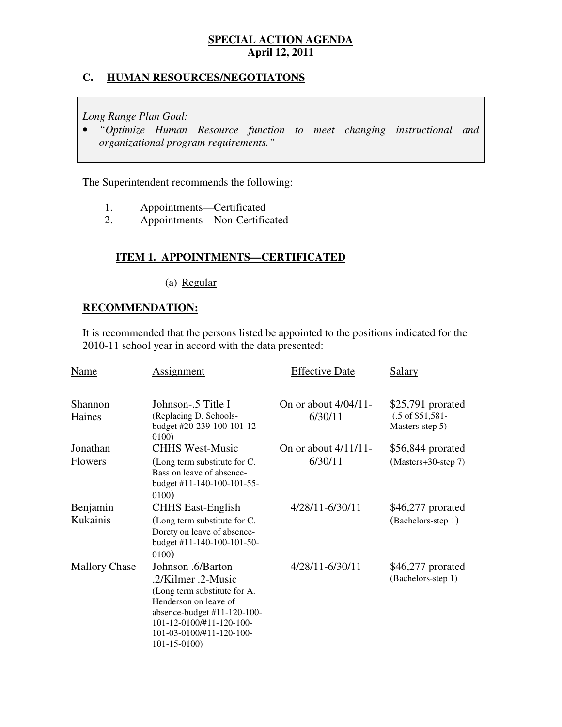### **C. HUMAN RESOURCES/NEGOTIATONS**

 *Long Range Plan Goal:* 

 • *"Optimize Human Resource function to meet changing instructional and organizational program requirements."* 

The Superintendent recommends the following:

- 1. 1. Appointments—Certificated
- $2.$ 2. Appointments—Non-Certificated

## **ITEM 1. APPOINTMENTS—CERTIFICATED**

(a) Regular

### **RECOMMENDATION:**

 It is recommended that the persons listed be appointed to the positions indicated for the 2010-11 school year in accord with the data presented:

| Name                       | <b>Assignment</b>                                                                                                                                                                                            | <b>Effective Date</b>              | <b>Salary</b>                                                       |
|----------------------------|--------------------------------------------------------------------------------------------------------------------------------------------------------------------------------------------------------------|------------------------------------|---------------------------------------------------------------------|
| Shannon<br>Haines          | Johnson-.5 Title I<br>(Replacing D. Schools-<br>budget #20-239-100-101-12-<br>0100)                                                                                                                          | On or about $4/04/11$ -<br>6/30/11 | \$25,791 prorated<br>$(.5 \text{ of } $51,581$ -<br>Masters-step 5) |
| Jonathan<br><b>Flowers</b> | <b>CHHS West-Music</b><br>(Long term substitute for C.<br>Bass on leave of absence-<br>budget #11-140-100-101-55-<br>0100)                                                                                   | On or about 4/11/11-<br>6/30/11    | $$56,844$ prorated<br>$(Masters+30-step 7)$                         |
| Benjamin<br>Kukainis       | <b>CHHS East-English</b><br>(Long term substitute for C.<br>Dorety on leave of absence-<br>budget #11-140-100-101-50-<br>0100)                                                                               | 4/28/11-6/30/11                    | $$46,277$ prorated<br>(Bachelors-step 1)                            |
| <b>Mallory Chase</b>       | Johnson .6/Barton<br>.2/Kilmer .2-Music<br>(Long term substitute for A.<br>Henderson on leave of<br>absence-budget #11-120-100-<br>101-12-0100/#11-120-100-<br>101-03-0100/#11-120-100-<br>$101 - 15 - 0100$ | 4/28/11-6/30/11                    | \$46,277 prorated<br>(Bachelors-step 1)                             |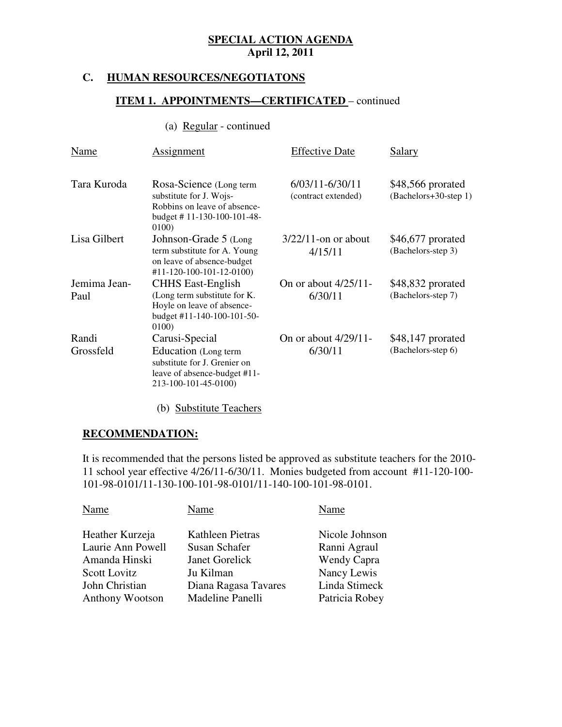#### **HUMAN RESOURCES/NEGOTIATONS**

### **ITEM 1. APPOINTMENTS—CERTIFICATED** – continued

### (a)  $Regular - continued$ </u>

| Name                 | Assignment                                                                                                                     | <b>Effective Date</b>                  | Salary                                     |
|----------------------|--------------------------------------------------------------------------------------------------------------------------------|----------------------------------------|--------------------------------------------|
| Tara Kuroda          | Rosa-Science (Long term<br>substitute for J. Wojs-<br>Robbins on leave of absence-<br>budget # $11-130-100-101-48-$<br>0100)   | 6/03/11-6/30/11<br>(contract extended) | \$48,566 prorated<br>(Bachelors+30-step 1) |
| Lisa Gilbert         | Johnson-Grade 5 (Long<br>term substitute for A. Young<br>on leave of absence-budget<br>#11-120-100-101-12-0100)                | $3/22/11$ -on or about<br>4/15/11      | \$46,677 prorated<br>(Bachelors-step 3)    |
| Jemima Jean-<br>Paul | <b>CHHS East-English</b><br>(Long term substitute for K.<br>Hoyle on leave of absence-<br>budget #11-140-100-101-50-<br>0100)  | On or about $4/25/11$ -<br>6/30/11     | \$48,832 prorated<br>(Bachelors-step 7)    |
| Randi<br>Grossfeld   | Carusi-Special<br>Education (Long term<br>substitute for J. Grenier on<br>leave of absence-budget #11-<br>213-100-101-45-0100) | On or about $4/29/11$ -<br>6/30/11     | $$48,147$ prorated<br>(Bachelors-step 6)   |

(b) Substitute Teachers

### **RECOMMENDATION:**

 It is recommended that the persons listed be approved as substitute teachers for the 2010 11 school year effective 4/26/11-6/30/11. Monies budgeted from account #11-120-100 101-98-0101/11-130-100-101-98-0101/11-140-100-101-98-0101.

| Nicole Johnson<br>Heather Kurzeja<br>Kathleen Pietras        |  |
|--------------------------------------------------------------|--|
|                                                              |  |
| Laurie Ann Powell<br>Susan Schafer<br>Ranni Agraul           |  |
| Wendy Capra<br>Amanda Hinski<br>Janet Gorelick               |  |
| Nancy Lewis<br><b>Scott Lovitz</b><br>Ju Kilman              |  |
| Linda Stimeck<br>John Christian<br>Diana Ragasa Tavares      |  |
| Madeline Panelli<br>Patricia Robey<br><b>Anthony Wootson</b> |  |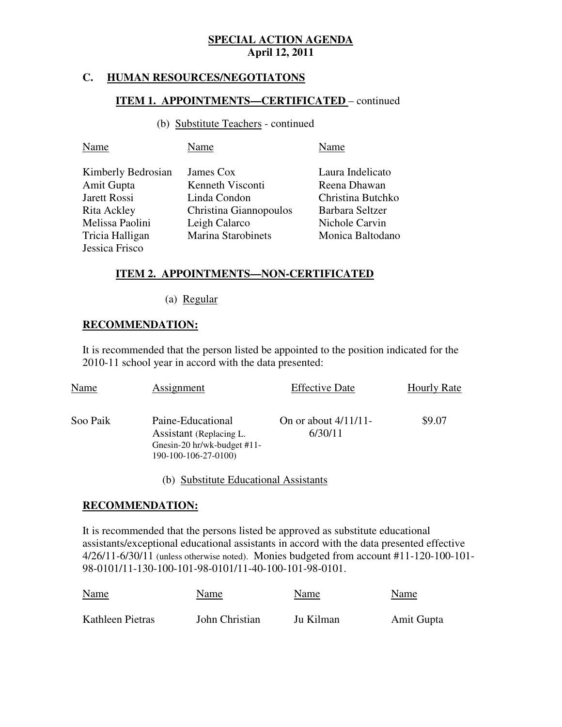### **C. HUMAN RESOURCES/NEGOTIATONS**

### **ITEM 1. APPOINTMENTS—CERTIFICATED** – continued

(b) Substitute Teachers - continued

| Name               | Name                      | Name              |
|--------------------|---------------------------|-------------------|
| Kimberly Bedrosian | James Cox                 | Laura Indelicato  |
| Amit Gupta         | Kenneth Visconti          | Reena Dhawan      |
| Jarett Rossi       | Linda Condon              | Christina Butchko |
| Rita Ackley        | Christina Giannopoulos    | Barbara Seltzer   |
| Melissa Paolini    | Leigh Calarco             | Nichole Carvin    |
| Tricia Halligan    | <b>Marina Starobinets</b> | Monica Baltodano  |
| Jessica Frisco     |                           |                   |

# **ITEM 2. APPOINTMENTS—NON-CERTIFICATED**

(a) Regular

### **RECOMMENDATION:**

 It is recommended that the person listed be appointed to the position indicated for the 2010-11 school year in accord with the data presented:

| Name     | <b>Assignment</b>                                                                                   | <b>Effective Date</b>              | <b>Hourly Rate</b> |
|----------|-----------------------------------------------------------------------------------------------------|------------------------------------|--------------------|
| Soo Paik | Paine-Educational<br>Assistant (Replacing L.<br>Gnesin-20 hr/wk-budget #11-<br>190-100-106-27-0100) | On or about $4/11/11$ -<br>6/30/11 | \$9.07             |

(b) Substitute Educational Assistants

### **RECOMMENDATION:**

 It is recommended that the persons listed be approved as substitute educational assistants/exceptional educational assistants in accord with the data presented effective 4/26/11-6/30/11 (unless otherwise noted). Monies budgeted from account #11-120-100-101 98-0101/11-130-100-101-98-0101/11-40-100-101-98-0101.

| <b>Name</b>      | Name           | Name      | Name       |
|------------------|----------------|-----------|------------|
| Kathleen Pietras | John Christian | Ju Kilman | Amit Gupta |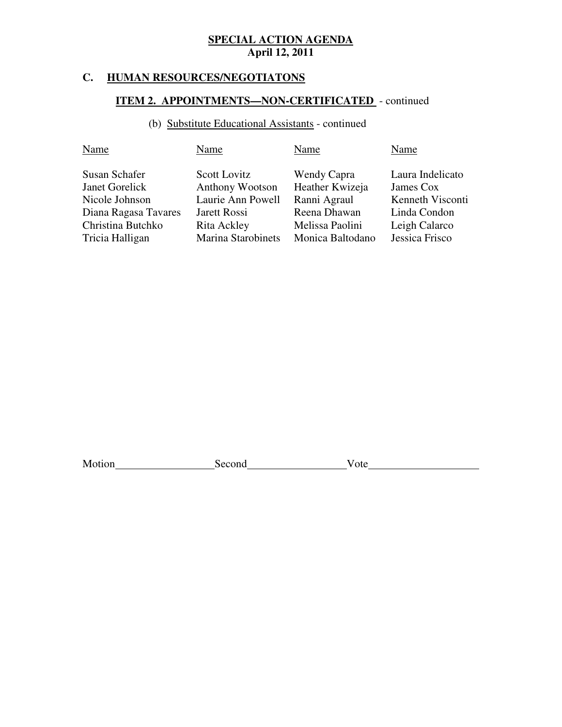### **C. HUMAN RESOURCES/NEGOTIATONS**

### **ITEM 2. APPOINTMENTS—NON-CERTIFICATED** - continued

### (b) Substitute Educational Assistants - continued

| Name                                                                                                              | Name                                                                                                                    | Name                                                                                                  | Name                                                                                                 |
|-------------------------------------------------------------------------------------------------------------------|-------------------------------------------------------------------------------------------------------------------------|-------------------------------------------------------------------------------------------------------|------------------------------------------------------------------------------------------------------|
| Susan Schafer<br>Janet Gorelick<br>Nicole Johnson<br>Diana Ragasa Tavares<br>Christina Butchko<br>Tricia Halligan | Scott Lovitz<br><b>Anthony Wootson</b><br>Laurie Ann Powell<br>Jarett Rossi<br>Rita Ackley<br><b>Marina Starobinets</b> | Wendy Capra<br>Heather Kwizeja<br>Ranni Agraul<br>Reena Dhawan<br>Melissa Paolini<br>Monica Baltodano | Laura Indelicato<br>James Cox<br>Kenneth Visconti<br>Linda Condon<br>Leigh Calarco<br>Jessica Frisco |
|                                                                                                                   |                                                                                                                         |                                                                                                       |                                                                                                      |

Motion Second Vote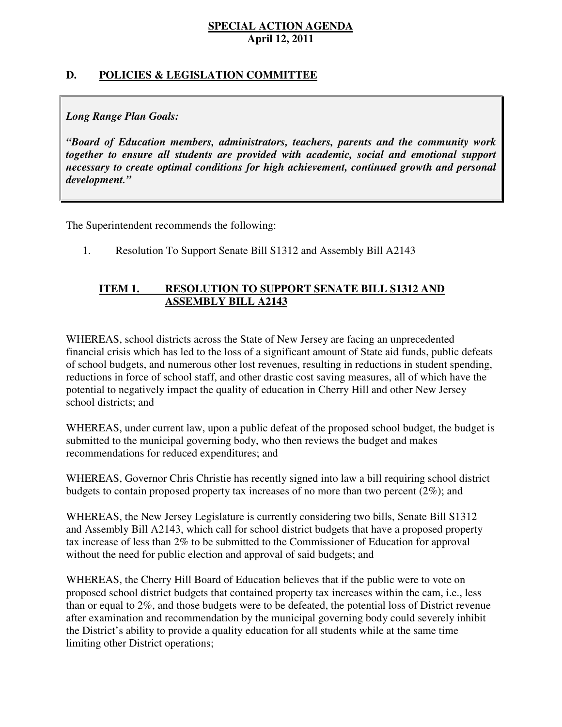### **D. POLICIES & LEGISLATION COMMITTEE**

### *Long Range Plan Goals:*

 *"Board of Education members, administrators, teachers, parents and the community work together to ensure all students are provided with academic, social and emotional support necessary to create optimal conditions for high achievement, continued growth and personal development."* 

The Superintendent recommends the following:

1. Resolution To Support Senate Bill S1312 and Assembly Bill A2143

### **ITEM 1. ASSEMBLY BILL A2143 RESOLUTION TO SUPPORT SENATE BILL S1312 AND**

 WHEREAS, school districts across the State of New Jersey are facing an unprecedented financial crisis which has led to the loss of a significant amount of State aid funds, public defeats of school budgets, and numerous other lost revenues, resulting in reductions in student spending, reductions in force of school staff, and other drastic cost saving measures, all of which have the potential to negatively impact the quality of education in Cherry Hill and other New Jersey school districts; and

 WHEREAS, under current law, upon a public defeat of the proposed school budget, the budget is submitted to the municipal governing body, who then reviews the budget and makes recommendations for reduced expenditures; and

 WHEREAS, Governor Chris Christie has recently signed into law a bill requiring school district budgets to contain proposed property tax increases of no more than two percent (2%); and

 WHEREAS, the New Jersey Legislature is currently considering two bills, Senate Bill S1312 and Assembly Bill A2143, which call for school district budgets that have a proposed property tax increase of less than 2% to be submitted to the Commissioner of Education for approval without the need for public election and approval of said budgets; and

 WHEREAS, the Cherry Hill Board of Education believes that if the public were to vote on proposed school district budgets that contained property tax increases within the cam, i.e., less than or equal to 2%, and those budgets were to be defeated, the potential loss of District revenue after examination and recommendation by the municipal governing body could severely inhibit the District's ability to provide a quality education for all students while at the same time limiting other District operations;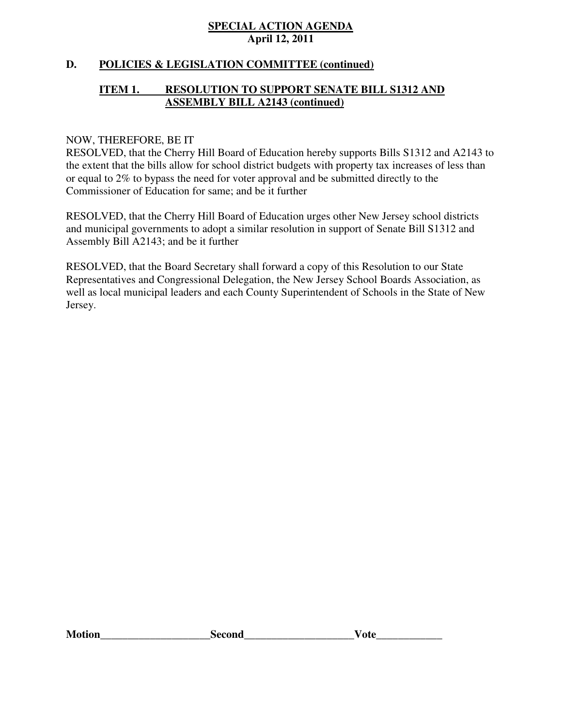### **D. POLICIES & LEGISLATION COMMITTEE (continued)**

### **ITEM 1. ASSEMBLY BILL A2143 (continued) RESOLUTION TO SUPPORT SENATE BILL S1312 AND**

### NOW, THEREFORE, BE IT

 RESOLVED, that the Cherry Hill Board of Education hereby supports Bills S1312 and A2143 to the extent that the bills allow for school district budgets with property tax increases of less than or equal to 2% to bypass the need for voter approval and be submitted directly to the Commissioner of Education for same; and be it further

 RESOLVED, that the Cherry Hill Board of Education urges other New Jersey school districts and municipal governments to adopt a similar resolution in support of Senate Bill S1312 and Assembly Bill A2143; and be it further

 RESOLVED, that the Board Secretary shall forward a copy of this Resolution to our State Representatives and Congressional Delegation, the New Jersey School Boards Association, as well as local municipal leaders and each County Superintendent of Schools in the State of New Jersey.

| M<br>no | cond |  |
|---------|------|--|
|---------|------|--|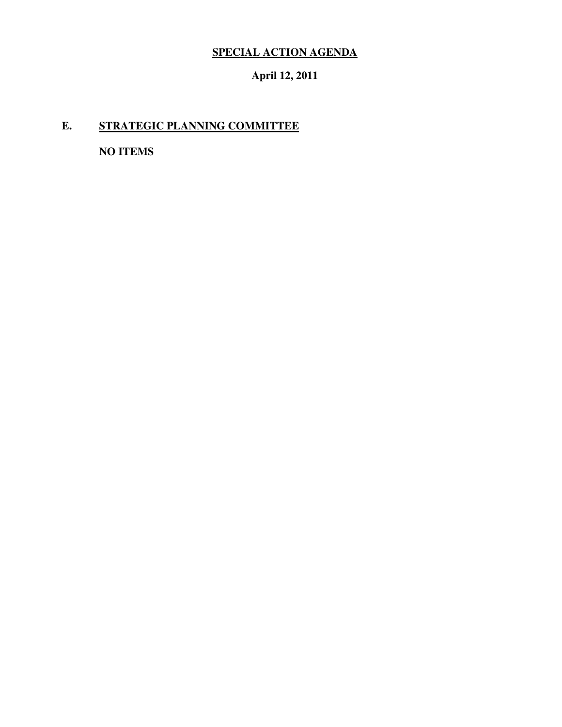# **SPECIAL ACTION AGENDA**

### **April 12, 2011**

# **E. STRATEGIC PLANNING COMMITTEE**

 **NO ITEMS**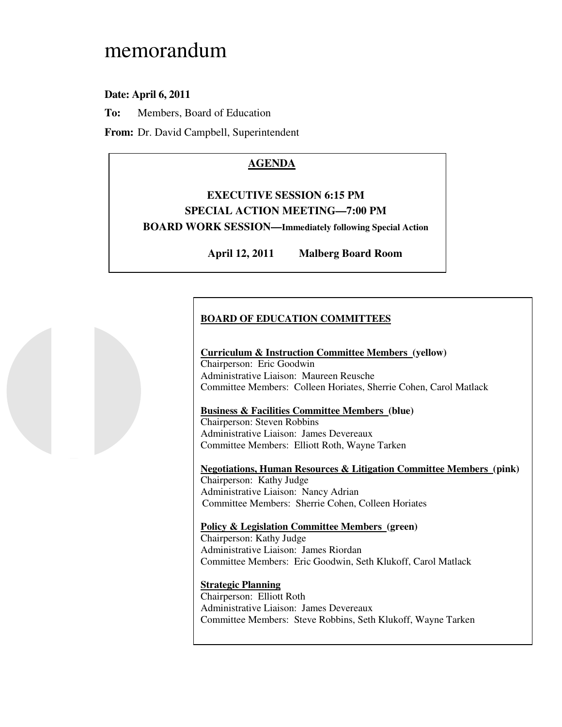# memorandum

### **Date: April 6, 2011**

**To:** Members, Board of Education

**From:** Dr. David Campbell, Superintendent

# **AGENDA**

# **EXECUTIVE SESSION 6:15 PM SPECIAL ACTION MEETING—7:00 PM**

 **BOARD WORK SESSION—Immediately following Special Action** 

April 12, 2011 **Malberg Board Room** 

# **BOARD OF EDUCATION COMMITTEES**

### **Curriculum & Instruction Committee Members (yellow)**  Chairperson: Eric Goodwin Administrative Liaison: Maureen Reusche Committee Members: Colleen Horiates, Sherrie Cohen, Carol Matlack

### **Business & Facilities Committee Members (blue)**

 Chairperson: Steven Robbins Administrative Liaison: James Devereaux Committee Members: Elliott Roth, Wayne Tarken

 **Negotiations, Human Resources & Litigation Committee Members (pink)**  Chairperson: Kathy Judge Administrative Liaison: Nancy Adrian Committee Members: Sherrie Cohen, Colleen Horiates

### **Policy & Legislation Committee Members (green)**

 Chairperson: Kathy Judge Administrative Liaison: James Riordan Committee Members: Eric Goodwin, Seth Klukoff, Carol Matlack

### **Strategic Planning**

 Chairperson: Elliott Roth Administrative Liaison: James Devereaux Committee Members: Steve Robbins, Seth Klukoff, Wayne Tarken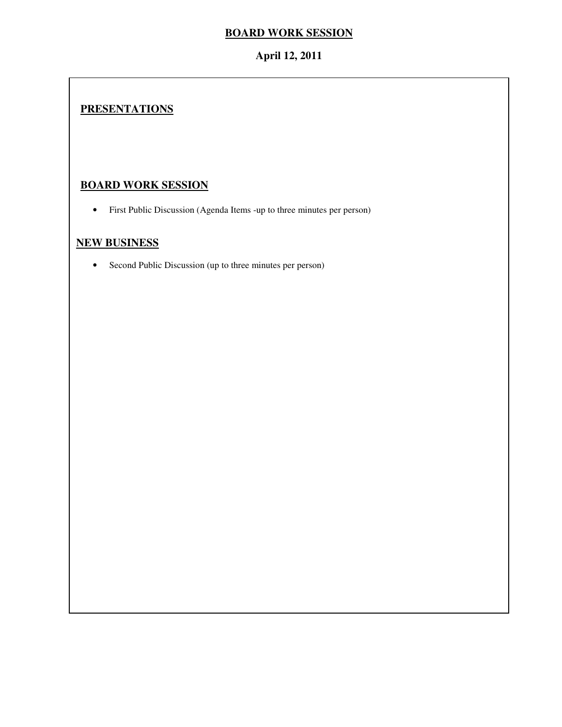### **BOARD WORK SESSION**

### **April 12, 2011**

# **PRESENTATIONS**

## **BOARD WORK SESSION**

• First Public Discussion (Agenda Items -up to three minutes per person)

## **NEW BUSINESS**

• Second Public Discussion (up to three minutes per person)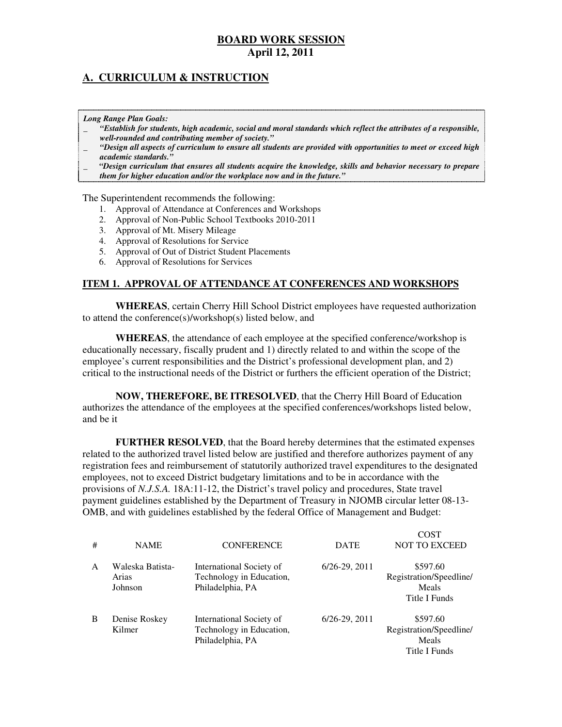### **A. CURRICULUM & INSTRUCTION**

 *Long Range Plan Goals:* 

- \_ *"Establish for students, high academic, social and moral standards which reflect the attributes of a responsible, well-rounded and contributing member of society."*
- \_ *"Design all aspects of curriculum to ensure all students are provided with opportunities to meet or exceed high academic standards."*
- \_ *"Design curriculum that ensures all students acquire the knowledge, skills and behavior necessary to prepare them for higher education and/or the workplace now and in the future."*

The Superintendent recommends the following:

- 1. Approval of Attendance at Conferences and Workshops
- 2. Approval of Non-Public School Textbooks 2010-2011
- 3. Approval of Mt. Misery Mileage
- 4. Approval of Resolutions for Service
- 5. Approval of Out of District Student Placements
- 6. Approval of Resolutions for Services

### **ITEM 1. APPROVAL OF ATTENDANCE AT CONFERENCES AND WORKSHOPS**

 **WHEREAS**, certain Cherry Hill School District employees have requested authorization to attend the conference(s)/workshop(s) listed below, and

 **WHEREAS**, the attendance of each employee at the specified conference/workshop is educationally necessary, fiscally prudent and 1) directly related to and within the scope of the employee's current responsibilities and the District's professional development plan, and 2) critical to the instructional needs of the District or furthers the efficient operation of the District;

 **NOW, THEREFORE, BE ITRESOLVED**, that the Cherry Hill Board of Education authorizes the attendance of the employees at the specified conferences/workshops listed below, and be it

 **FURTHER RESOLVED**, that the Board hereby determines that the estimated expenses related to the authorized travel listed below are justified and therefore authorizes payment of any registration fees and reimbursement of statutorily authorized travel expenditures to the designated employees, not to exceed District budgetary limitations and to be in accordance with the provisions of *N.J.S.A.* 18A:11-12, the District's travel policy and procedures, State travel payment guidelines established by the Department of Treasury in NJOMB circular letter 08-13 OMB, and with guidelines established by the federal Office of Management and Budget:

| # | <b>NAME</b>                          | <b>CONFERENCE</b>                                                        | <b>DATE</b>       | COST<br><b>NOT TO EXCEED</b>                                  |
|---|--------------------------------------|--------------------------------------------------------------------------|-------------------|---------------------------------------------------------------|
| A | Waleska Batista-<br>Arias<br>Johnson | International Society of<br>Technology in Education,<br>Philadelphia, PA | $6/26 - 29, 2011$ | \$597.60<br>Registration/Speedline/<br>Meals<br>Title I Funds |
| B | Denise Roskey<br>Kilmer              | International Society of<br>Technology in Education,<br>Philadelphia, PA | $6/26 - 29, 2011$ | \$597.60<br>Registration/Speedline/<br>Meals<br>Title I Funds |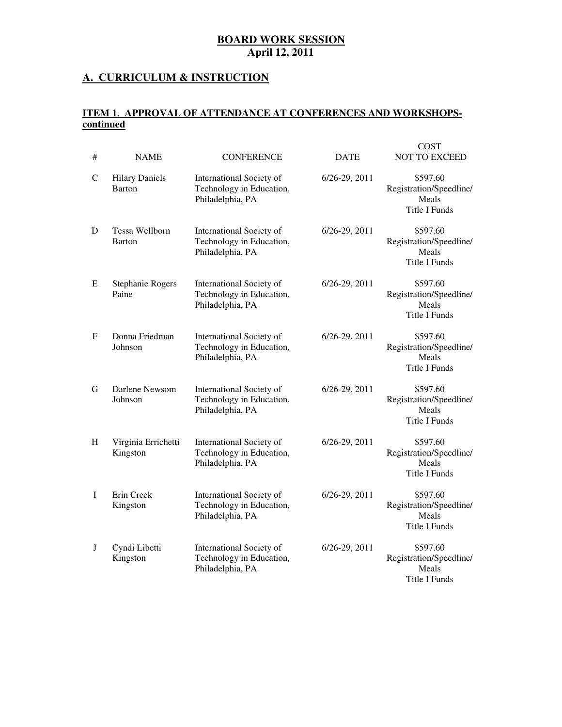### **A. CURRICULUM & INSTRUCTION**

### **ITEM 1. APPROVAL OF ATTENDANCE AT CONFERENCES AND WORKSHOPScontinued**

| # | <b>NAME</b>                     | <b>CONFERENCE</b>                                                        | <b>DATE</b>       | <b>COST</b><br><b>NOT TO EXCEED</b>                                  |
|---|---------------------------------|--------------------------------------------------------------------------|-------------------|----------------------------------------------------------------------|
| C | <b>Hilary Daniels</b><br>Barton | International Society of<br>Technology in Education,<br>Philadelphia, PA | 6/26-29, 2011     | \$597.60<br>Registration/Speedline/<br>Meals<br><b>Title I Funds</b> |
| D | Tessa Wellborn<br><b>Barton</b> | International Society of<br>Technology in Education,<br>Philadelphia, PA | 6/26-29, 2011     | \$597.60<br>Registration/Speedline/<br>Meals<br>Title I Funds        |
| E | Stephanie Rogers<br>Paine       | International Society of<br>Technology in Education,<br>Philadelphia, PA | $6/26 - 29, 2011$ | \$597.60<br>Registration/Speedline/<br>Meals<br><b>Title I Funds</b> |
| F | Donna Friedman<br>Johnson       | International Society of<br>Technology in Education,<br>Philadelphia, PA | $6/26-29, 2011$   | \$597.60<br>Registration/Speedline/<br>Meals<br><b>Title I Funds</b> |
| G | Darlene Newsom<br>Johnson       | International Society of<br>Technology in Education,<br>Philadelphia, PA | $6/26 - 29, 2011$ | \$597.60<br>Registration/Speedline/<br>Meals<br>Title I Funds        |
| H | Virginia Errichetti<br>Kingston | International Society of<br>Technology in Education,<br>Philadelphia, PA | $6/26 - 29, 2011$ | \$597.60<br>Registration/Speedline/<br>Meals<br><b>Title I Funds</b> |
| I | Erin Creek<br>Kingston          | International Society of<br>Technology in Education,<br>Philadelphia, PA | $6/26 - 29, 2011$ | \$597.60<br>Registration/Speedline/<br>Meals<br>Title I Funds        |
| J | Cyndi Libetti<br>Kingston       | International Society of<br>Technology in Education,<br>Philadelphia, PA | $6/26 - 29, 2011$ | \$597.60<br>Registration/Speedline/<br>Meals<br>Title I Funds        |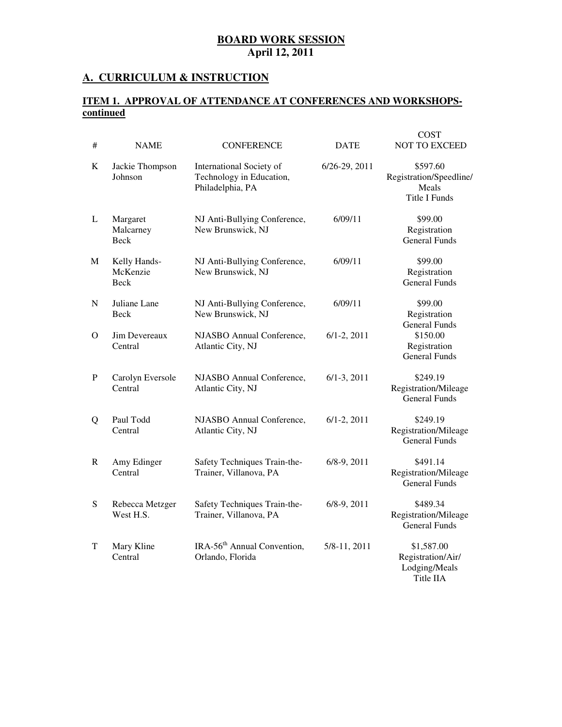### **A. CURRICULUM & INSTRUCTION**

### **ITEM 1. APPROVAL OF ATTENDANCE AT CONFERENCES AND WORKSHOPScontinued**

| #         | <b>NAME</b>                      | <b>CONFERENCE</b>                                                        | <b>DATE</b>        | <b>COST</b><br><b>NOT TO EXCEED</b>                                  |
|-----------|----------------------------------|--------------------------------------------------------------------------|--------------------|----------------------------------------------------------------------|
| K         | Jackie Thompson<br>Johnson       | International Society of<br>Technology in Education,<br>Philadelphia, PA | 6/26-29, 2011      | \$597.60<br>Registration/Speedline/<br>Meals<br><b>Title I Funds</b> |
| L         | Margaret<br>Malcarney<br>Beck    | NJ Anti-Bullying Conference,<br>New Brunswick, NJ                        | 6/09/11            | \$99.00<br>Registration<br><b>General Funds</b>                      |
| M         | Kelly Hands-<br>McKenzie<br>Beck | NJ Anti-Bullying Conference,<br>New Brunswick, NJ                        | 6/09/11            | \$99.00<br>Registration<br><b>General Funds</b>                      |
| N         | Juliane Lane<br><b>Beck</b>      | NJ Anti-Bullying Conference,<br>New Brunswick, NJ                        | 6/09/11            | \$99.00<br>Registration<br><b>General Funds</b>                      |
| $\Omega$  | Jim Devereaux<br>Central         | NJASBO Annual Conference,<br>Atlantic City, NJ                           | $6/1 - 2$ , $2011$ | \$150.00<br>Registration<br><b>General Funds</b>                     |
| P         | Carolyn Eversole<br>Central      | NJASBO Annual Conference,<br>Atlantic City, NJ                           | $6/1-3$ , 2011     | \$249.19<br>Registration/Mileage<br><b>General Funds</b>             |
| Q         | Paul Todd<br>Central             | NJASBO Annual Conference,<br>Atlantic City, NJ                           | $6/1 - 2, 2011$    | \$249.19<br>Registration/Mileage<br><b>General Funds</b>             |
| R         | Amy Edinger<br>Central           | Safety Techniques Train-the-<br>Trainer, Villanova, PA                   | $6/8-9, 2011$      | \$491.14<br>Registration/Mileage<br><b>General Funds</b>             |
| ${\bf S}$ | Rebecca Metzger<br>West H.S.     | Safety Techniques Train-the-<br>Trainer, Villanova, PA                   | $6/8-9, 2011$      | \$489.34<br>Registration/Mileage<br><b>General Funds</b>             |
| T         | Mary Kline<br>Central            | IRA-56 <sup>th</sup> Annual Convention,<br>Orlando, Florida              | 5/8-11, 2011       | \$1,587.00<br>Registration/Air/<br>Lodging/Meals<br>Title IIA        |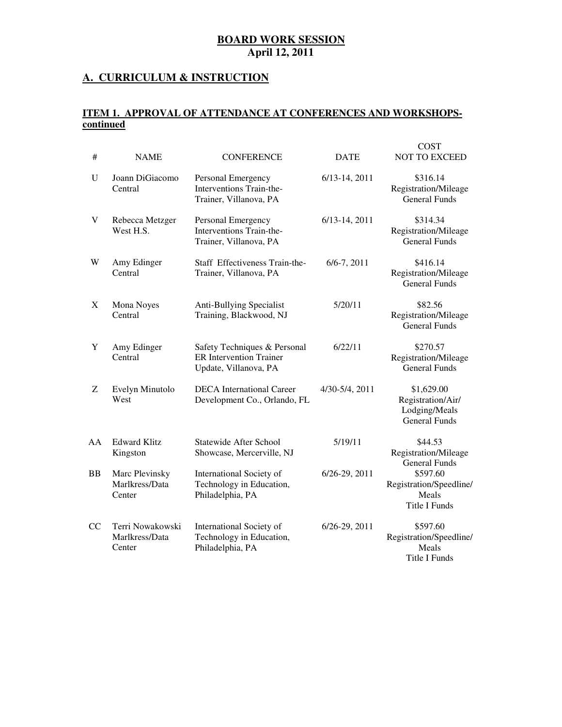### **A. CURRICULUM & INSTRUCTION**

### **ITEM 1. APPROVAL OF ATTENDANCE AT CONFERENCES AND WORKSHOPScontinued**

 $C$  $C$  $T$ 

| #  | <b>NAME</b>                                  | <b>CONFERENCE</b>                                                                       | <b>DATE</b>       | CONT<br><b>NOT TO EXCEED</b>                                             |
|----|----------------------------------------------|-----------------------------------------------------------------------------------------|-------------------|--------------------------------------------------------------------------|
| U  | Joann DiGiacomo<br>Central                   | Personal Emergency<br>Interventions Train-the-<br>Trainer, Villanova, PA                | $6/13 - 14, 2011$ | \$316.14<br>Registration/Mileage<br><b>General Funds</b>                 |
| V  | Rebecca Metzger<br>West H.S.                 | Personal Emergency<br>Interventions Train-the-<br>Trainer, Villanova, PA                | 6/13-14, 2011     | \$314.34<br>Registration/Mileage<br><b>General Funds</b>                 |
| W  | Amy Edinger<br>Central                       | Staff Effectiveness Train-the-<br>Trainer, Villanova, PA                                | $6/6 - 7, 2011$   | \$416.14<br>Registration/Mileage<br><b>General Funds</b>                 |
| X  | Mona Noyes<br>Central                        | Anti-Bullying Specialist<br>Training, Blackwood, NJ                                     | 5/20/11           | \$82.56<br>Registration/Mileage<br><b>General Funds</b>                  |
| Y  | Amy Edinger<br>Central                       | Safety Techniques & Personal<br><b>ER Intervention Trainer</b><br>Update, Villanova, PA | 6/22/11           | \$270.57<br>Registration/Mileage<br><b>General Funds</b>                 |
| Ζ  | Evelyn Minutolo<br>West                      | <b>DECA</b> International Career<br>Development Co., Orlando, FL                        | 4/30-5/4, 2011    | \$1,629.00<br>Registration/Air/<br>Lodging/Meals<br><b>General Funds</b> |
| AA | <b>Edward Klitz</b><br>Kingston              | <b>Statewide After School</b><br>Showcase, Mercerville, NJ                              | 5/19/11           | \$44.53<br>Registration/Mileage<br><b>General Funds</b>                  |
| BB | Marc Plevinsky<br>Marlkress/Data<br>Center   | International Society of<br>Technology in Education,<br>Philadelphia, PA                | 6/26-29, 2011     | \$597.60<br>Registration/Speedline/<br>Meals<br><b>Title I Funds</b>     |
| CC | Terri Nowakowski<br>Marlkress/Data<br>Center | International Society of<br>Technology in Education,<br>Philadelphia, PA                | 6/26-29, 2011     | \$597.60<br>Registration/Speedline/<br>Meals<br>Title I Funds            |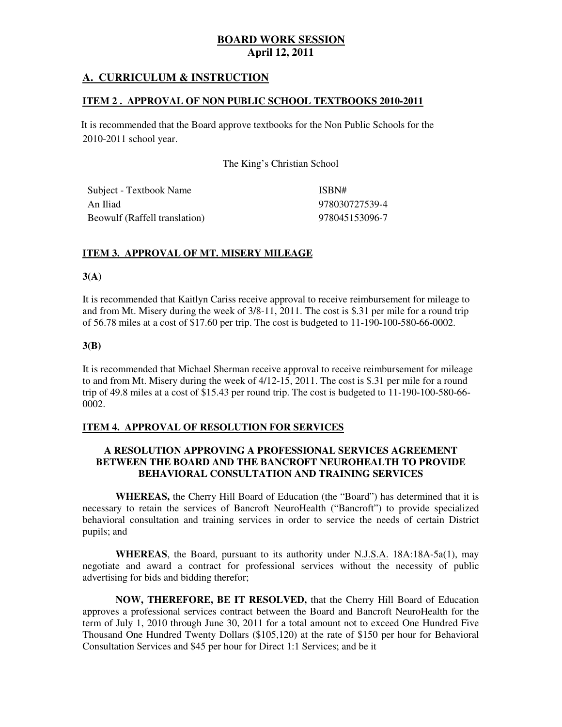### **A. CURRICULUM & INSTRUCTION**

### **ITEM 2 . APPROVAL OF NON PUBLIC SCHOOL TEXTBOOKS 2010-2011**

 2010-2011 school year. It is recommended that the Board approve textbooks for the Non Public Schools for the

The King's Christian School

| Subject - Textbook Name       | ISBN#          |
|-------------------------------|----------------|
| An Iliad                      | 978030727539-4 |
| Beowulf (Raffell translation) | 978045153096-7 |

### **ITEM 3. APPROVAL OF MT. MISERY MILEAGE**

### **3(A)**

 It is recommended that Kaitlyn Cariss receive approval to receive reimbursement for mileage to and from Mt. Misery during the week of 3/8-11, 2011. The cost is \$.31 per mile for a round trip of 56.78 miles at a cost of \$17.60 per trip. The cost is budgeted to 11-190-100-580-66-0002.

### **3(B)**

 It is recommended that Michael Sherman receive approval to receive reimbursement for mileage to and from Mt. Misery during the week of 4/12-15, 2011. The cost is \$.31 per mile for a round trip of 49.8 miles at a cost of \$15.43 per round trip. The cost is budgeted to 11-190-100-580-66 0002.

### **ITEM 4. APPROVAL OF RESOLUTION FOR SERVICES**

### **A RESOLUTION APPROVING A PROFESSIONAL SERVICES AGREEMENT BETWEEN THE BOARD AND THE BANCROFT NEUROHEALTH TO PROVIDE BEHAVIORAL CONSULTATION AND TRAINING SERVICES**

 **WHEREAS,** the Cherry Hill Board of Education (the "Board") has determined that it is necessary to retain the services of Bancroft NeuroHealth ("Bancroft") to provide specialized behavioral consultation and training services in order to service the needs of certain District pupils; and

 **WHEREAS**, the Board, pursuant to its authority under N.J.S.A. 18A:18A-5a(1), may negotiate and award a contract for professional services without the necessity of public advertising for bids and bidding therefor;

 **NOW, THEREFORE, BE IT RESOLVED,** that the Cherry Hill Board of Education approves a professional services contract between the Board and Bancroft NeuroHealth for the term of July 1, 2010 through June 30, 2011 for a total amount not to exceed One Hundred Five Thousand One Hundred Twenty Dollars (\$105,120) at the rate of \$150 per hour for Behavioral Consultation Services and \$45 per hour for Direct 1:1 Services; and be it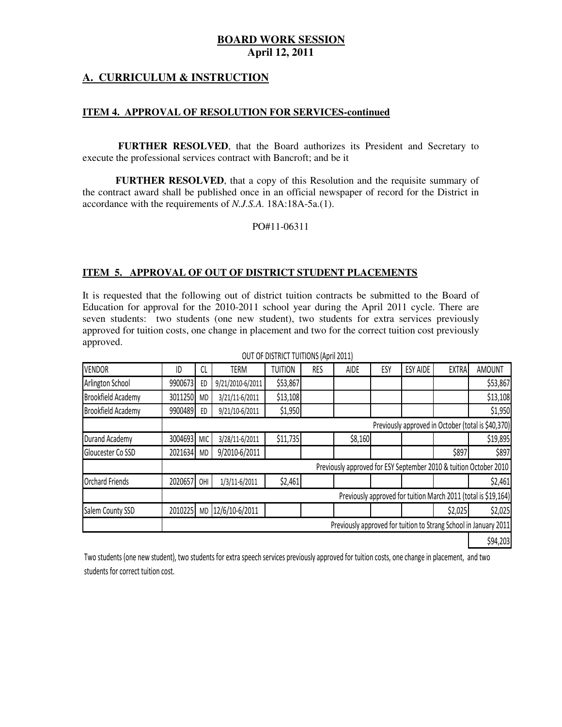### **A. CURRICULUM & INSTRUCTION**

### **ITEM 4. APPROVAL OF RESOLUTION FOR SERVICES-continued**

 **FURTHER RESOLVED**, that the Board authorizes its President and Secretary to execute the professional services contract with Bancroft; and be it

 **FURTHER RESOLVED**, that a copy of this Resolution and the requisite summary of the contract award shall be published once in an official newspaper of record for the District in accordance with the requirements of *N.J.S.A.* 18A:18A-5a.(1).

PO#11-06311

### **ITEM 5. APPROVAL OF OUT OF DISTRICT STUDENT PLACEMENTS**

 It is requested that the following out of district tuition contracts be submitted to the Board of Education for approval for the 2010-2011 school year during the April 2011 cycle. There are seven students: two students (one new student), two students for extra services previously approved for tuition costs, one change in placement and two for the correct tuition cost previously approved.

| VENDOR                    | ID      | CL         | <b>TERM</b>      | <b>TUITION</b> | <b>RES</b> | AIDE    | ESY | <b>ESY AIDE</b> | <b>EXTRA</b> | <b>AMOUNT</b>                                                     |
|---------------------------|---------|------------|------------------|----------------|------------|---------|-----|-----------------|--------------|-------------------------------------------------------------------|
| Arlington School          | 9900673 | ED         | 9/21/2010-6/2011 | \$53,867       |            |         |     |                 |              | \$53,867                                                          |
| <b>Brookfield Academy</b> | 3011250 | <b>MD</b>  | 3/21/11-6/2011   | \$13,108       |            |         |     |                 |              | \$13,108                                                          |
| <b>Brookfield Academy</b> | 9900489 | ED         | 9/21/10-6/2011   | \$1,950        |            |         |     |                 |              | \$1,950                                                           |
|                           |         |            |                  |                |            |         |     |                 |              | Previously approved in October (total is \$40,370)                |
| Durand Academy            | 3004693 | <b>MIC</b> | 3/28/11-6/2011   | \$11,735       |            | \$8,160 |     |                 |              | \$19,895                                                          |
| Gloucester Co SSD         | 2021634 | <b>MD</b>  | 9/2010-6/2011    |                |            |         |     |                 | \$897        | \$897                                                             |
|                           |         |            |                  |                |            |         |     |                 |              | Previously approved for ESY September 2010 & tuition October 2010 |
| <b>Orchard Friends</b>    | 2020657 | OHI        | 1/3/11-6/2011    | \$2,461        |            |         |     |                 |              | \$2,461                                                           |
|                           |         |            |                  |                |            |         |     |                 |              | Previously approved for tuition March 2011 (total is \$19,164)    |
| Salem County SSD          | 2010225 | <b>MD</b>  | 12/6/10-6/2011   |                |            |         |     |                 | \$2,025      | \$2,025                                                           |
|                           |         |            |                  |                |            |         |     |                 |              | Previously approved for tuition to Strang School in January 2011  |
|                           |         |            |                  |                |            |         |     |                 |              | \$94,203                                                          |

OUT OF DISTRICT TUITIONS (April 2011)

 Two students (one new student), two students for extra speech services previously approved for tuition costs, one change in placement, and two students for correct tuition cost.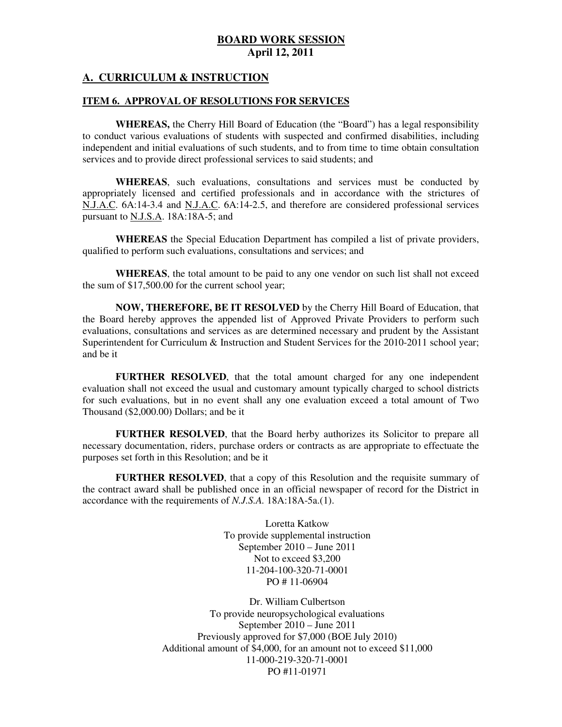### **A. CURRICULUM & INSTRUCTION**

### **ITEM 6. APPROVAL OF RESOLUTIONS FOR SERVICES**

 **WHEREAS,** the Cherry Hill Board of Education (the "Board") has a legal responsibility to conduct various evaluations of students with suspected and confirmed disabilities, including independent and initial evaluations of such students, and to from time to time obtain consultation services and to provide direct professional services to said students; and

 **WHEREAS**, such evaluations, consultations and services must be conducted by appropriately licensed and certified professionals and in accordance with the strictures of N.J.A.C. 6A:14-3.4 and N.J.A.C. 6A:14-2.5, and therefore are considered professional services pursuant to **N.J.S.A**. 18A:18A-5; and

 **WHEREAS** the Special Education Department has compiled a list of private providers, qualified to perform such evaluations, consultations and services; and

 **WHEREAS**, the total amount to be paid to any one vendor on such list shall not exceed the sum of \$17,500.00 for the current school year;

 **NOW, THEREFORE, BE IT RESOLVED** by the Cherry Hill Board of Education, that the Board hereby approves the appended list of Approved Private Providers to perform such evaluations, consultations and services as are determined necessary and prudent by the Assistant Superintendent for Curriculum & Instruction and Student Services for the 2010-2011 school year; and be it

 **FURTHER RESOLVED**, that the total amount charged for any one independent evaluation shall not exceed the usual and customary amount typically charged to school districts for such evaluations, but in no event shall any one evaluation exceed a total amount of Two Thousand (\$2,000.00) Dollars; and be it

 **FURTHER RESOLVED**, that the Board herby authorizes its Solicitor to prepare all necessary documentation, riders, purchase orders or contracts as are appropriate to effectuate the purposes set forth in this Resolution; and be it

 **FURTHER RESOLVED**, that a copy of this Resolution and the requisite summary of the contract award shall be published once in an official newspaper of record for the District in accordance with the requirements of *N.J.S.A.* 18A:18A-5a.(1).

> Loretta Katkow To provide supplemental instruction September 2010 – June 2011 Not to exceed \$3,200 PO # 11-06904 11-204-100-320-71-0001

 Dr. William Culbertson To provide neuropsychological evaluations September 2010 – June 2011 Previously approved for \$7,000 (BOE July 2010) Additional amount of \$4,000, for an amount not to exceed \$11,000 PO #11-01971 11-000-219-320-71-0001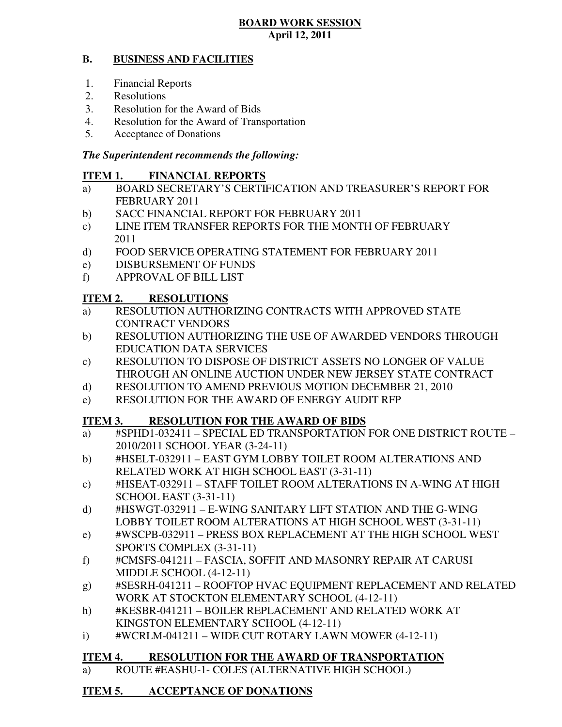#### **B. BUSINESS AND FACILITIES**

- 1. Financial Reports
- 2. Resolutions
- 3. Resolution for the Award of Bids
- 4. Resolution for the Award of Transportation
- 5. Acceptance of Donations

### *The Superintendent recommends the following:*

#### **ITEM 1. FINANCIAL REPORTS**

- a) BOARD SECRETARY'S CERTIFICATION AND TREASURER'S REPORT FOR FEBRUARY 2011
- $b)$ SACC FINANCIAL REPORT FOR FEBRUARY 2011
- $c)$ LINE ITEM TRANSFER REPORTS FOR THE MONTH OF FEBRUARY 2011
- $\mathbf{d}$ FOOD SERVICE OPERATING STATEMENT FOR FEBRUARY 2011
- e) DISBURSEMENT OF FUNDS
- f) APPROVAL OF BILL LIST

#### **ITEM 2. RESOLUTIONS**

- a) RESOLUTION AUTHORIZING CONTRACTS WITH APPROVED STATE CONTRACT VENDORS
- b) RESOLUTION AUTHORIZING THE USE OF AWARDED VENDORS THROUGH EDUCATION DATA SERVICES
- c) RESOLUTION TO DISPOSE OF DISTRICT ASSETS NO LONGER OF VALUE THROUGH AN ONLINE AUCTION UNDER NEW JERSEY STATE CONTRACT
- d) RESOLUTION TO AMEND PREVIOUS MOTION DECEMBER 21, 2010
- e) RESOLUTION FOR THE AWARD OF ENERGY AUDIT RFP

#### **ITEM 3. RESOLUTION FOR THE AWARD OF BIDS**

- a) #SPHD1-032411 SPECIAL ED TRANSPORTATION FOR ONE DISTRICT ROUTE 2010/2011 SCHOOL YEAR (3-24-11)
- b) #HSELT-032911 EAST GYM LOBBY TOILET ROOM ALTERATIONS AND RELATED WORK AT HIGH SCHOOL EAST (3-31-11)
- c) #HSEAT-032911 STAFF TOILET ROOM ALTERATIONS IN A-WING AT HIGH SCHOOL EAST (3-31-11)
- d) #HSWGT-032911 E-WING SANITARY LIFT STATION AND THE G-WING LOBBY TOILET ROOM ALTERATIONS AT HIGH SCHOOL WEST (3-31-11)
- e) #WSCPB-032911 PRESS BOX REPLACEMENT AT THE HIGH SCHOOL WEST SPORTS COMPLEX (3-31-11)
- f) #CMSFS-041211 FASCIA, SOFFIT AND MASONRY REPAIR AT CARUSI MIDDLE SCHOOL (4-12-11)
- g) #SESRH-041211 ROOFTOP HVAC EQUIPMENT REPLACEMENT AND RELATED WORK AT STOCKTON ELEMENTARY SCHOOL (4-12-11)
- h) #KESBR-041211 BOILER REPLACEMENT AND RELATED WORK AT KINGSTON ELEMENTARY SCHOOL (4-12-11)
- i)  $\qquad$  #WCRLM-041211 WIDE CUT ROTARY LAWN MOWER (4-12-11)

#### **ITEM 4. RESOLUTION FOR THE AWARD OF TRANSPORTATION**

a) ROUTE #EASHU-1- COLES (ALTERNATIVE HIGH SCHOOL)

#### **ITEM 5. ACCEPTANCE OF DONATIONS**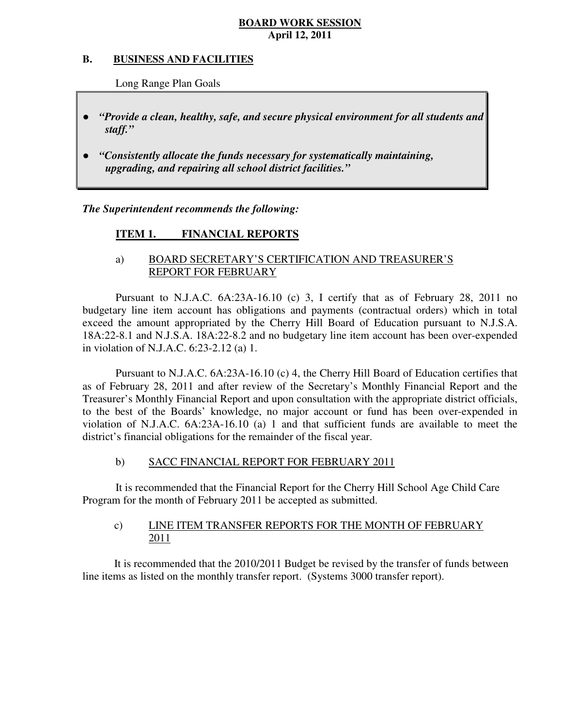#### **B. B. BUSINESS AND FACILITIES**

Long Range Plan Goals

- *"Provide a clean, healthy, safe, and secure physical environment for all students and staff."*
- *"Consistently allocate the funds necessary for systematically maintaining, upgrading, and repairing all school district facilities."*

 *The Superintendent recommends the following:* 

#### **ITEM 1. FINANCIAL REPORTS**

### a) BOARD SECRETARY'S CERTIFICATION AND TREASURER'S REPORT FOR FEBRUARY

 Pursuant to N.J.A.C. 6A:23A-16.10 (c) 3, I certify that as of February 28, 2011 no budgetary line item account has obligations and payments (contractual orders) which in total exceed the amount appropriated by the Cherry Hill Board of Education pursuant to N.J.S.A. 18A:22-8.1 and N.J.S.A. 18A:22-8.2 and no budgetary line item account has been over-expended in violation of N.J.A.C. 6:23-2.12 (a) 1.

 Pursuant to N.J.A.C. 6A:23A-16.10 (c) 4, the Cherry Hill Board of Education certifies that as of February 28, 2011 and after review of the Secretary's Monthly Financial Report and the Treasurer's Monthly Financial Report and upon consultation with the appropriate district officials, to the best of the Boards' knowledge, no major account or fund has been over-expended in violation of N.J.A.C. 6A:23A-16.10 (a) 1 and that sufficient funds are available to meet the district's financial obligations for the remainder of the fiscal year.

#### $b)$ SACC FINANCIAL REPORT FOR FEBRUARY 2011

 It is recommended that the Financial Report for the Cherry Hill School Age Child Care Program for the month of February 2011 be accepted as submitted.

### $c)$ LINE ITEM TRANSFER REPORTS FOR THE MONTH OF FEBRUARY 2011

 It is recommended that the 2010/2011 Budget be revised by the transfer of funds between line items as listed on the monthly transfer report. (Systems 3000 transfer report).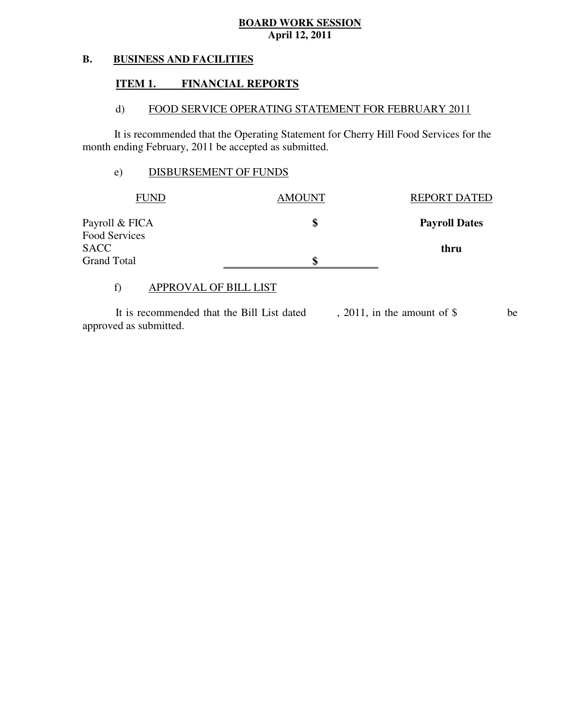#### **B. BUSINESS AND FACILITIES**

#### **ITEM 1. FINANCIAL REPORTS**

#### $\mathbf{d}$ FOOD SERVICE OPERATING STATEMENT FOR FEBRUARY 2011

 It is recommended that the Operating Statement for Cherry Hill Food Services for the month ending February, 2011 be accepted as submitted.

### e) DISBURSEMENT OF FUNDS

| FUND                         | <b>AMOUNT</b> | <b>REPORT DATED</b>  |
|------------------------------|---------------|----------------------|
| Payroll & FICA               | \$            | <b>Payroll Dates</b> |
| Food Services<br><b>SACC</b> |               |                      |
| <b>Grand Total</b>           | S             | thru                 |

### f) APPROVAL OF BILL LIST

 approved as submitted. It is recommended that the Bill List dated , 2011, in the amount of \$ be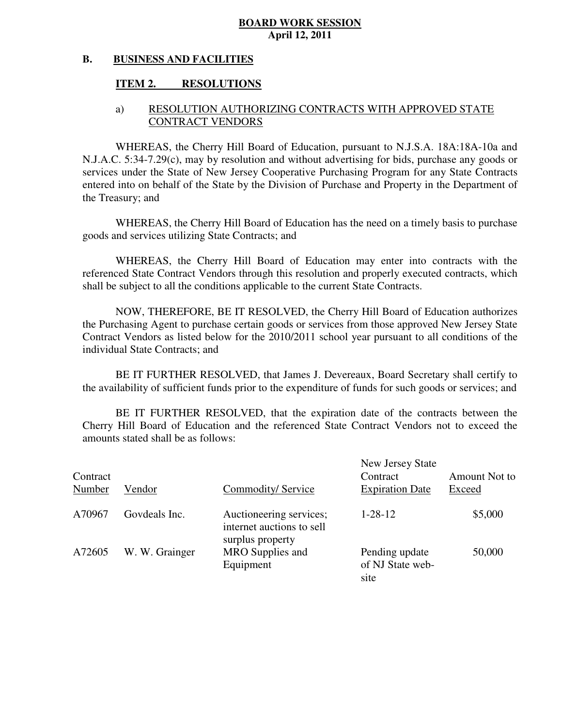#### **B. BUSINESS AND FACILITIES**

#### **ITEM 2. RESOLUTIONS**

### a) RESOLUTION AUTHORIZING CONTRACTS WITH APPROVED STATE CONTRACT VENDORS

 WHEREAS, the Cherry Hill Board of Education, pursuant to N.J.S.A. 18A:18A-10a and N.J.A.C. 5:34-7.29(c), may by resolution and without advertising for bids, purchase any goods or services under the State of New Jersey Cooperative Purchasing Program for any State Contracts entered into on behalf of the State by the Division of Purchase and Property in the Department of the Treasury; and

 WHEREAS, the Cherry Hill Board of Education has the need on a timely basis to purchase goods and services utilizing State Contracts; and

 WHEREAS, the Cherry Hill Board of Education may enter into contracts with the referenced State Contract Vendors through this resolution and properly executed contracts, which shall be subject to all the conditions applicable to the current State Contracts.

 NOW, THEREFORE, BE IT RESOLVED, the Cherry Hill Board of Education authorizes the Purchasing Agent to purchase certain goods or services from those approved New Jersey State Contract Vendors as listed below for the 2010/2011 school year pursuant to all conditions of the individual State Contracts; and

 the availability of sufficient funds prior to the expenditure of funds for such goods or services; and BE IT FURTHER RESOLVED, that James J. Devereaux, Board Secretary shall certify to

 Cherry Hill Board of Education and the referenced State Contract Vendors not to exceed the amounts stated shall be as follows: BE IT FURTHER RESOLVED, that the expiration date of the contracts between the

| Contract<br>Number | Vendor         | Commodity/Service                                                        | New Jersey State<br>Contract<br><b>Expiration Date</b> | Amount Not to<br>Exceed |
|--------------------|----------------|--------------------------------------------------------------------------|--------------------------------------------------------|-------------------------|
| A70967             | Govdeals Inc.  | Auctioneering services;<br>internet auctions to sell<br>surplus property | $1 - 28 - 12$                                          | \$5,000                 |
| A72605             | W. W. Grainger | MRO Supplies and<br>Equipment                                            | Pending update<br>of NJ State web-<br>site             | 50,000                  |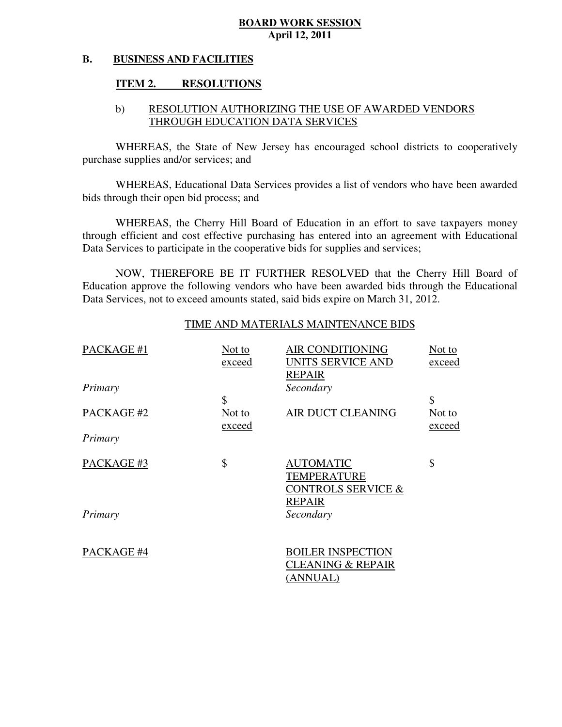#### **B. BUSINESS AND FACILITIES**

#### **ITEM 2. RESOLUTIONS**

### b) RESOLUTION AUTHORIZING THE USE OF AWARDED VENDORS THROUGH EDUCATION DATA SERVICES

 WHEREAS, the State of New Jersey has encouraged school districts to cooperatively purchase supplies and/or services; and

 WHEREAS, Educational Data Services provides a list of vendors who have been awarded bids through their open bid process; and

 WHEREAS, the Cherry Hill Board of Education in an effort to save taxpayers money through efficient and cost effective purchasing has entered into an agreement with Educational Data Services to participate in the cooperative bids for supplies and services;

 NOW, THEREFORE BE IT FURTHER RESOLVED that the Cherry Hill Board of Education approve the following vendors who have been awarded bids through the Educational Data Services, not to exceed amounts stated, said bids expire on March 31, 2012.

### TIME AND MATERIALS MAINTENANCE BIDS

| PACKAGE #1 | Not to<br>exceed | <b>AIR CONDITIONING</b><br>UNITS SERVICE AND<br><b>REPAIR</b>                            | Not to<br>exceed |
|------------|------------------|------------------------------------------------------------------------------------------|------------------|
| Primary    |                  | Secondary                                                                                |                  |
|            | \$               |                                                                                          | \$               |
| PACKAGE #2 | Not to<br>exceed | AIR DUCT CLEANING                                                                        | Not to<br>exceed |
| Primary    |                  |                                                                                          |                  |
| PACKAGE #3 | \$               | <b>AUTOMATIC</b><br><b>TEMPERATURE</b><br><b>CONTROLS SERVICE &amp;</b><br><b>REPAIR</b> | \$               |
| Primary    |                  | Secondary                                                                                |                  |
|            |                  |                                                                                          |                  |
| PACKAGE #4 |                  | <b>BOILER INSPECTION</b><br><b>CLEANING &amp; REPAIR</b>                                 |                  |
|            |                  | (ANNUAL)                                                                                 |                  |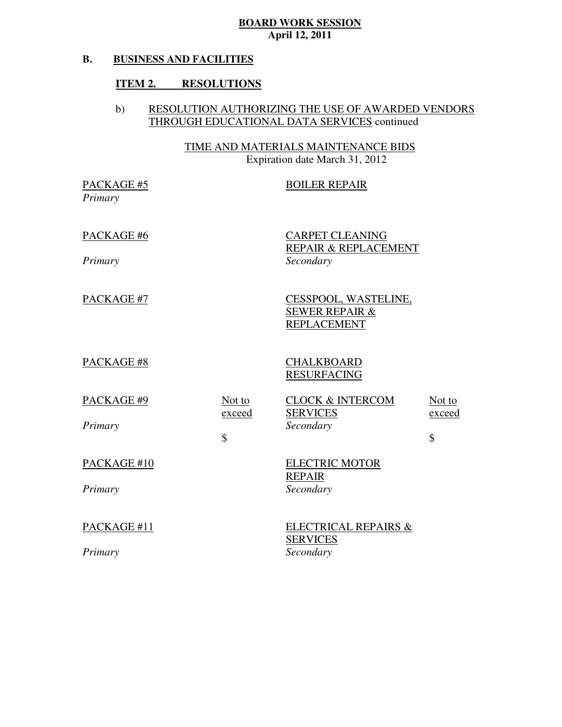#### **B. BUSINESS AND FACILITIES**

### **ITEM 2. RESOLUTIONS**

### b) RESOLUTION AUTHORIZING THE USE OF AWARDED VENDORS THROUGH EDUCATIONAL DATA SERVICES continued

 TIME AND MATERIALS MAINTENANCE BIDS Expiration date March 31, 2012

| PACKAGE #5<br>Primary  |                                             | <b>BOILER REPAIR</b>                                                    |                                   |
|------------------------|---------------------------------------------|-------------------------------------------------------------------------|-----------------------------------|
| PACKAGE #6<br>Primary  |                                             | <b>CARPET CLEANING</b><br>REPAIR & REPLACEMENT<br>Secondary             |                                   |
| PACKAGE #7             |                                             | CESSPOOL, WASTELINE,<br><b>SEWER REPAIR &amp;</b><br><b>REPLACEMENT</b> |                                   |
| PACKAGE #8             |                                             | <b>CHALKBOARD</b><br><b>RESURFACING</b>                                 |                                   |
| PACKAGE #9<br>Primary  | Not to<br>exceed<br>$\overline{\mathbb{S}}$ | <b>CLOCK &amp; INTERCOM</b><br><b>SERVICES</b><br>Secondary             | Not to<br>exceed<br>$\mathcal{S}$ |
| PACKAGE #10<br>Primary |                                             | <b>ELECTRIC MOTOR</b><br><b>REPAIR</b><br>Secondary                     |                                   |
| PACKAGE #11<br>Primary |                                             | ELECTRICAL REPAIRS &<br><b>SERVICES</b><br>Secondary                    |                                   |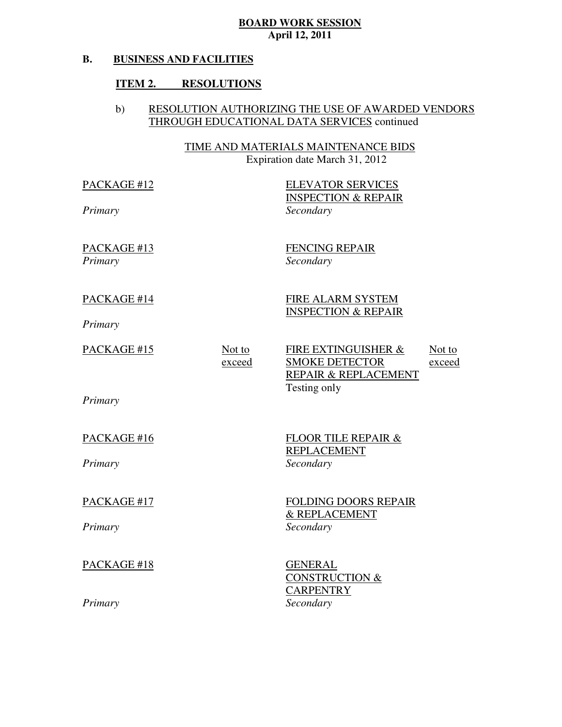#### **B. BUSINESS AND FACILITIES**

### **ITEM 2. RESOLUTIONS**

### b) RESOLUTION AUTHORIZING THE USE OF AWARDED VENDORS THROUGH EDUCATIONAL DATA SERVICES continued

 TIME AND MATERIALS MAINTENANCE BIDS Expiration date March 31, 2012

 PACKAGE #12 *Primary* 

 INSPECTION & REPAIR ELEVATOR SERVICES *Secondary* 

FENCING REPAIR *Secondary* 

INSPECTION & REPAIR

FIRE ALARM SYSTEM

 REPAIR & REPLACEMENT Testing only Not to Not to exceed FIRE EXTINGUISHER & SMOKE DETECTOR exceed

*Primary* 

PACKAGE #16

PACKAGE #13

*Primary* 

*Primary* 

PACKAGE #14

PACKAGE #15

*Primary* 

PACKAGE #17

*Primary* 

PACKAGE #18

*Primary* 

FLOOR TILE REPAIR & REPLACEMENT *Secondary* 

FOLDING DOORS REPAIR & REPLACEMENT *Secondary* 

 CONSTRUCTION & GENERAL **CARPENTRY** *Secondary*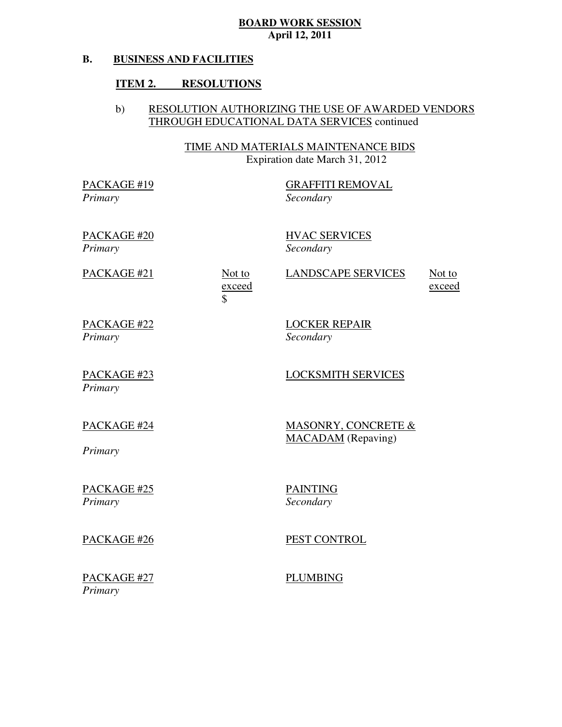#### **B. BUSINESS AND FACILITIES**

### **ITEM 2. RESOLUTIONS**

### b) RESOLUTION AUTHORIZING THE USE OF AWARDED VENDORS THROUGH EDUCATIONAL DATA SERVICES continued

 TIME AND MATERIALS MAINTENANCE BIDS Expiration date March 31, 2012

 PACKAGE #19 *Primary* 

GRAFFITI REMOVAL *Secondary* 

 PACKAGE #20 *Primary* 

HVAC SERVICES *Secondary* 

LOCKER REPAIR

*Secondary* 

PACKAGE #21 Not to exceed \$

LANDSCAPE SERVICES Not to

exceed

 PACKAGE #22 *Primary* 

 PACKAGE #23 *Primary* 

# PACKAGE #24

MACADAM (Repaving) MASONRY, CONCRETE &

LOCKSMITH SERVICES

*Primary* 

 PACKAGE #25 *Primary* 

PACKAGE #26

PEST CONTROL

 PACKAGE #27 *Primary* 

PLUMBING

PAINTING *Secondary*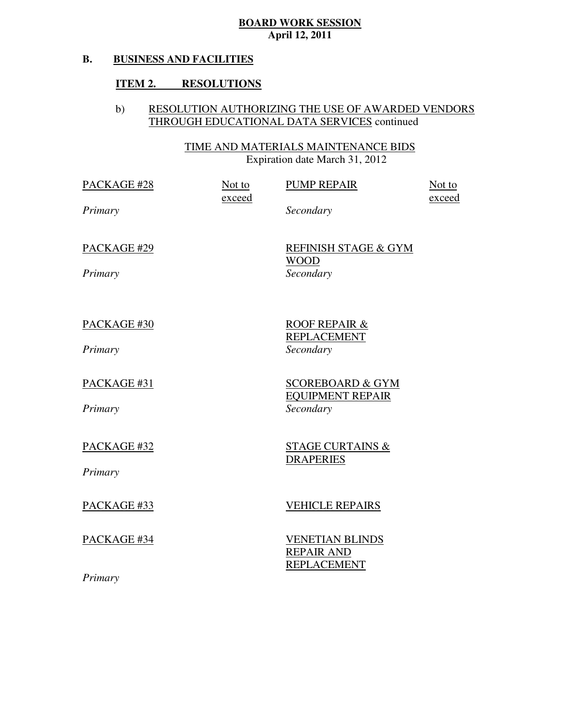#### **B. BUSINESS AND FACILITIES**

### **ITEM 2. RESOLUTIONS**

### b) RESOLUTION AUTHORIZING THE USE OF AWARDED VENDORS THROUGH EDUCATIONAL DATA SERVICES continued

 TIME AND MATERIALS MAINTENANCE BIDS Expiration date March 31, 2012

| PACKAGE #28            | Not to<br>exceed | <b>PUMP REPAIR</b>                                                  | Not to<br>exceed |
|------------------------|------------------|---------------------------------------------------------------------|------------------|
| Primary                |                  | Secondary                                                           |                  |
| PACKAGE #29<br>Primary |                  | <b>REFINISH STAGE &amp; GYM</b><br><b>WOOD</b><br>Secondary         |                  |
| PACKAGE #30<br>Primary |                  | <b>ROOF REPAIR &amp;</b><br><b>REPLACEMENT</b><br>Secondary         |                  |
| PACKAGE #31<br>Primary |                  | <b>SCOREBOARD &amp; GYM</b><br><b>EQUIPMENT REPAIR</b><br>Secondary |                  |
| PACKAGE #32<br>Primary |                  | <b>STAGE CURTAINS &amp;</b><br><b>DRAPERIES</b>                     |                  |
| PACKAGE #33            |                  | <b>VEHICLE REPAIRS</b>                                              |                  |
| PACKAGE #34            |                  | <b>VENETIAN BLINDS</b><br><b>REPAIR AND</b><br><b>REPLACEMENT</b>   |                  |
| Primary                |                  |                                                                     |                  |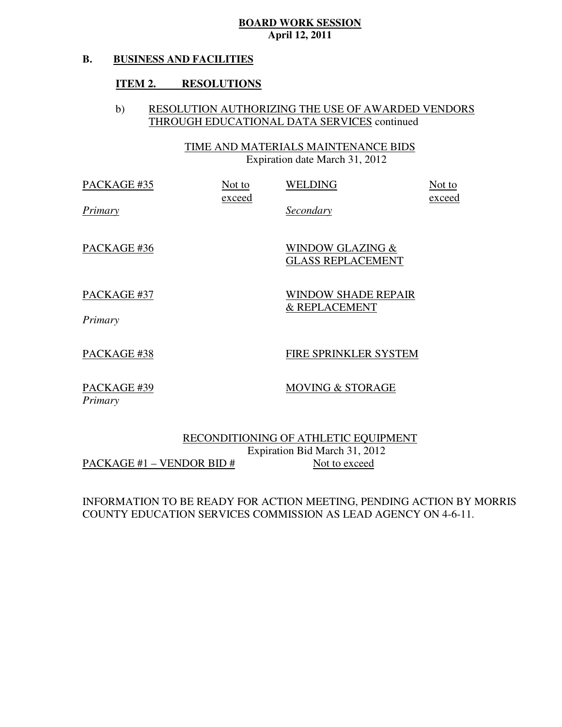#### **B. BUSINESS AND FACILITIES**

### **ITEM 2. RESOLUTIONS**

### b) RESOLUTION AUTHORIZING THE USE OF AWARDED VENDORS THROUGH EDUCATIONAL DATA SERVICES continued

 TIME AND MATERIALS MAINTENANCE BIDS Expiration date March 31, 2012

| PACKAGE #35            | Not to<br>exceed | <b>WELDING</b>                                          | Not to<br>exceed |
|------------------------|------------------|---------------------------------------------------------|------------------|
| Primary                |                  | Secondary                                               |                  |
| PACKAGE #36            |                  | <b>WINDOW GLAZING &amp;</b><br><b>GLASS REPLACEMENT</b> |                  |
| PACKAGE #37<br>Primary |                  | <b>WINDOW SHADE REPAIR</b><br><b>&amp; REPLACEMENT</b>  |                  |
| PACKAGE #38            |                  | FIRE SPRINKLER SYSTEM                                   |                  |

 PACKAGE #39 *Primary* 

MOVING & STORAGE

 RECONDITIONING OF ATHLETIC EQUIPMENT Expiration Bid March 31, 2012  $\frac{\text{PACKAGE #1} - \text{VENDOR BID #}}{\text{Not to exceed}}$ 

 INFORMATION TO BE READY FOR ACTION MEETING, PENDING ACTION BY MORRIS COUNTY EDUCATION SERVICES COMMISSION AS LEAD AGENCY ON 4-6-11.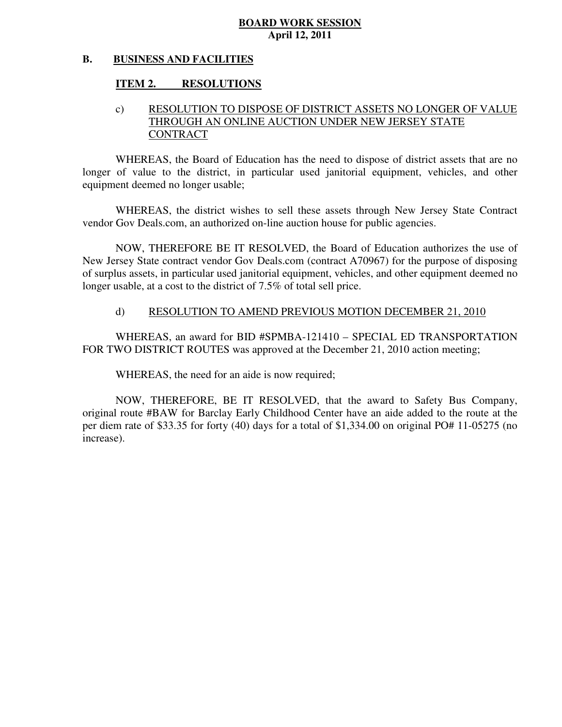#### **B. BUSINESS AND FACILITIES**

#### **ITEM 2. RESOLUTIONS**

### c) RESOLUTION TO DISPOSE OF DISTRICT ASSETS NO LONGER OF VALUE THROUGH AN ONLINE AUCTION UNDER NEW JERSEY STATE **CONTRACT**

 WHEREAS, the Board of Education has the need to dispose of district assets that are no longer of value to the district, in particular used janitorial equipment, vehicles, and other equipment deemed no longer usable;

 WHEREAS, the district wishes to sell these assets through New Jersey State Contract vendor Gov Deals.com, an authorized on-line auction house for public agencies.

 NOW, THEREFORE BE IT RESOLVED, the Board of Education authorizes the use of New Jersey State contract vendor Gov Deals.com (contract A70967) for the purpose of disposing of surplus assets, in particular used janitorial equipment, vehicles, and other equipment deemed no longer usable, at a cost to the district of 7.5% of total sell price.

### d) RESOLUTION TO AMEND PREVIOUS MOTION DECEMBER 21, 2010

 WHEREAS, an award for BID #SPMBA-121410 – SPECIAL ED TRANSPORTATION FOR TWO DISTRICT ROUTES was approved at the December 21, 2010 action meeting;

WHEREAS, the need for an aide is now required;

 NOW, THEREFORE, BE IT RESOLVED, that the award to Safety Bus Company, original route #BAW for Barclay Early Childhood Center have an aide added to the route at the per diem rate of \$33.35 for forty (40) days for a total of \$1,334.00 on original PO# 11-05275 (no increase).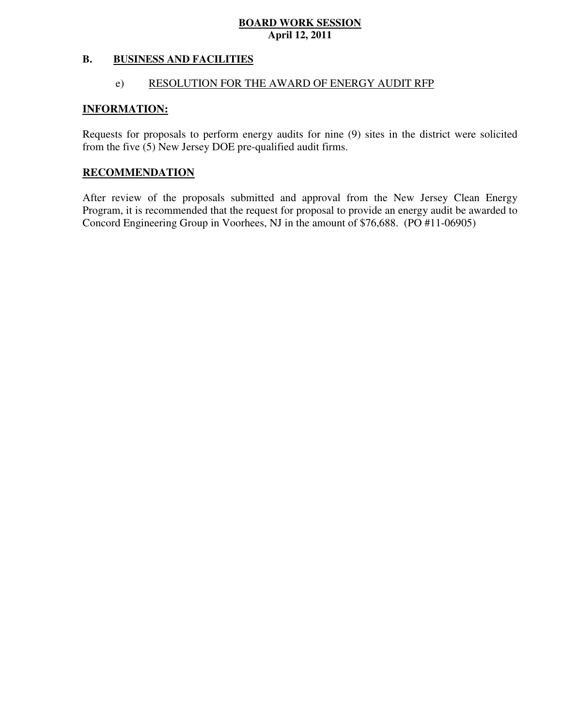#### **B. B. BUSINESS AND FACILITIES**

### e) RESOLUTION FOR THE AWARD OF ENERGY AUDIT RFP

### **INFORMATION:**

 Requests for proposals to perform energy audits for nine (9) sites in the district were solicited from the five (5) New Jersey DOE pre-qualified audit firms.

### **RECOMMENDATION**

 After review of the proposals submitted and approval from the New Jersey Clean Energy Program, it is recommended that the request for proposal to provide an energy audit be awarded to Concord Engineering Group in Voorhees, NJ in the amount of \$76,688. (PO #11-06905)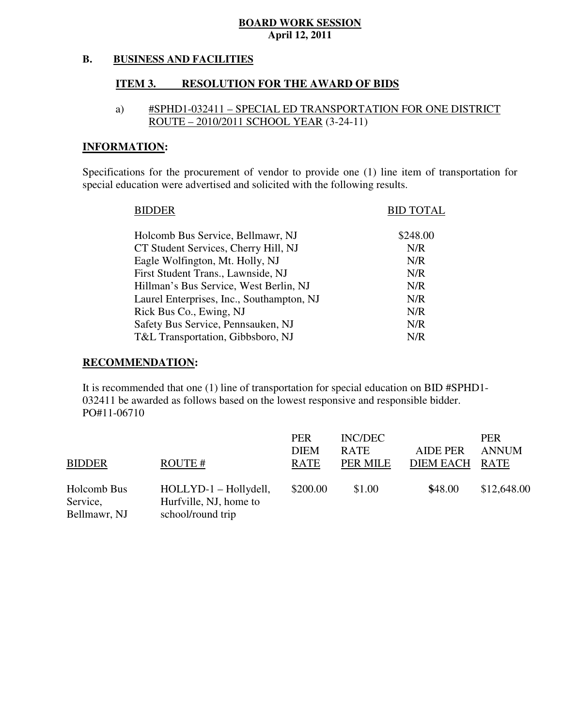#### **B. BUSINESS AND FACILITIES**

#### **ITEM 3. RESOLUTION FOR THE AWARD OF BIDS**

### a) #SPHD1-032411 – SPECIAL ED TRANSPORTATION FOR ONE DISTRICT ROUTE – 2010/2011 SCHOOL YEAR (3-24-11)

### **INFORMATION:**

 Specifications for the procurement of vendor to provide one (1) line item of transportation for special education were advertised and solicited with the following results.

| <b>BIDDER</b>                             | <b>BID TOTAL</b> |
|-------------------------------------------|------------------|
| Holcomb Bus Service, Bellmawr, NJ         | \$248.00         |
| CT Student Services, Cherry Hill, NJ      | N/R              |
| Eagle Wolfington, Mt. Holly, NJ           | N/R              |
| First Student Trans., Lawnside, NJ        | N/R              |
| Hillman's Bus Service, West Berlin, NJ    | N/R              |
| Laurel Enterprises, Inc., Southampton, NJ | N/R              |
| Rick Bus Co., Ewing, NJ                   | N/R              |
| Safety Bus Service, Pennsauken, NJ        | N/R              |
| T&L Transportation, Gibbsboro, NJ         | N/R              |
|                                           |                  |

### **RECOMMENDATION:**

 It is recommended that one (1) line of transportation for special education on BID #SPHD1 032411 be awarded as follows based on the lowest responsive and responsible bidder. PO#11-06710

|               |                        | <b>PER</b>  | INC/DEC     |                  | <b>PER</b>   |
|---------------|------------------------|-------------|-------------|------------------|--------------|
|               |                        | <b>DIEM</b> | <b>RATE</b> | <b>AIDE PER</b>  | <b>ANNUM</b> |
| <b>BIDDER</b> | ROUTE#                 | <b>RATE</b> | PER MILE    | <b>DIEM EACH</b> | <b>RATE</b>  |
| Holcomb Bus   | HOLLYD-1 - Hollydell,  | \$200.00    | \$1.00      | \$48.00          | \$12,648.00  |
| Service,      | Hurfville, NJ, home to |             |             |                  |              |
| Bellmawr, NJ  | school/round trip      |             |             |                  |              |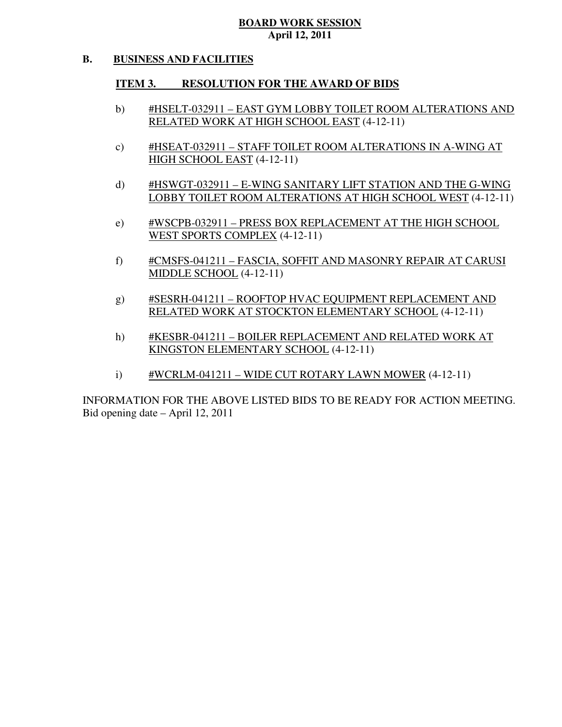#### **B. BUSINESS AND FACILITIES**

#### **ITEM 3. RESOLUTION FOR THE AWARD OF BIDS**

- b) #HSELT-032911 EAST GYM LOBBY TOILET ROOM ALTERATIONS AND RELATED WORK AT HIGH SCHOOL EAST (4-12-11)
- c) #HSEAT-032911 STAFF TOILET ROOM ALTERATIONS IN A-WING AT HIGH SCHOOL EAST (4-12-11)
- d) #HSWGT-032911 E-WING SANITARY LIFT STATION AND THE G-WING LOBBY TOILET ROOM ALTERATIONS AT HIGH SCHOOL WEST (4-12-11)
- e) #WSCPB-032911 PRESS BOX REPLACEMENT AT THE HIGH SCHOOL WEST SPORTS COMPLEX (4-12-11)
- f) #CMSFS-041211 FASCIA, SOFFIT AND MASONRY REPAIR AT CARUSI MIDDLE SCHOOL (4-12-11)
- g) #SESRH-041211 ROOFTOP HVAC EQUIPMENT REPLACEMENT AND RELATED WORK AT STOCKTON ELEMENTARY SCHOOL (4-12-11)
- h) #KESBR-041211 BOILER REPLACEMENT AND RELATED WORK AT KINGSTON ELEMENTARY SCHOOL (4-12-11)
- i) #WCRLM-041211 WIDE CUT ROTARY LAWN MOWER (4-12-11)

 INFORMATION FOR THE ABOVE LISTED BIDS TO BE READY FOR ACTION MEETING. Bid opening date – April 12, 2011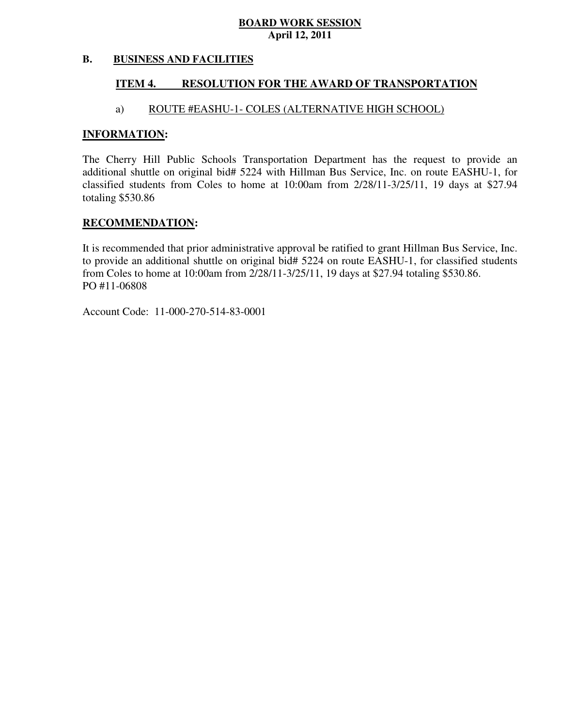#### **B. BUSINESS AND FACILITIES**

#### **ITEM 4. RESOLUTION FOR THE AWARD OF TRANSPORTATION**

### a) ROUTE #EASHU-1- COLES (ALTERNATIVE HIGH SCHOOL)

### **INFORMATION:**

 The Cherry Hill Public Schools Transportation Department has the request to provide an additional shuttle on original bid# 5224 with Hillman Bus Service, Inc. on route EASHU-1, for classified students from Coles to home at 10:00am from 2/28/11-3/25/11, 19 days at \$27.94 totaling \$530.86

### **RECOMMENDATION:**

 It is recommended that prior administrative approval be ratified to grant Hillman Bus Service, Inc. to provide an additional shuttle on original bid# 5224 on route EASHU-1, for classified students from Coles to home at 10:00am from 2/28/11-3/25/11, 19 days at \$27.94 totaling \$530.86. PO #11-06808

Account Code: 11-000-270-514-83-0001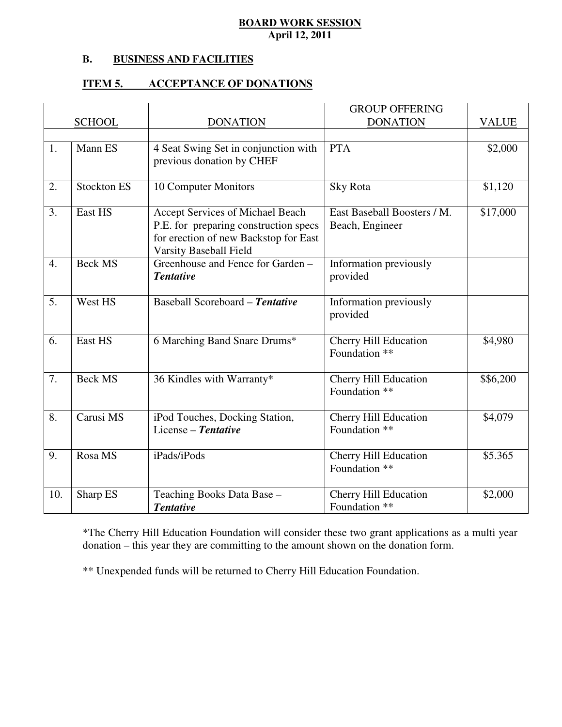#### **B. B. BUSINESS AND FACILITIES**

#### **ITEM 5. ITEM 5. ACCEPTANCE OF DONATIONS**

|     |                    |                                                                                | <b>GROUP OFFERING</b>                         |              |
|-----|--------------------|--------------------------------------------------------------------------------|-----------------------------------------------|--------------|
|     | <b>SCHOOL</b>      | <b>DONATION</b>                                                                | <b>DONATION</b>                               | <b>VALUE</b> |
|     |                    |                                                                                |                                               |              |
| 1.  | Mann ES            | 4 Seat Swing Set in conjunction with                                           | <b>PTA</b>                                    | \$2,000      |
|     |                    | previous donation by CHEF                                                      |                                               |              |
| 2.  | <b>Stockton ES</b> | 10 Computer Monitors                                                           | Sky Rota                                      | \$1,120      |
| 3.  | East HS            | Accept Services of Michael Beach                                               | East Baseball Boosters / M.                   | \$17,000     |
|     |                    | P.E. for preparing construction specs<br>for erection of new Backstop for East | Beach, Engineer                               |              |
|     |                    | Varsity Baseball Field                                                         |                                               |              |
| 4.  | <b>Beck MS</b>     | Greenhouse and Fence for Garden -                                              | Information previously                        |              |
|     |                    | <b>Tentative</b>                                                               | provided                                      |              |
| 5.  | West HS            | Baseball Scoreboard - Tentative                                                | Information previously                        |              |
|     |                    |                                                                                | provided                                      |              |
| 6.  | East HS            | 6 Marching Band Snare Drums*                                                   | <b>Cherry Hill Education</b>                  | \$4,980      |
|     |                    |                                                                                | Foundation **                                 |              |
| 7.  | <b>Beck MS</b>     | 36 Kindles with Warranty*                                                      | <b>Cherry Hill Education</b>                  | \$\$6,200    |
|     |                    |                                                                                | Foundation **                                 |              |
| 8.  | Carusi MS          | iPod Touches, Docking Station,                                                 | Cherry Hill Education                         | \$4,079      |
|     |                    | License - Tentative                                                            | Foundation **                                 |              |
|     |                    |                                                                                |                                               |              |
| 9.  | Rosa MS            | iPads/iPods                                                                    | <b>Cherry Hill Education</b><br>Foundation ** | \$5.365      |
|     |                    |                                                                                |                                               |              |
| 10. | Sharp ES           | Teaching Books Data Base -                                                     | <b>Cherry Hill Education</b>                  | \$2,000      |
|     |                    | <b>Tentative</b>                                                               | Foundation **                                 |              |

 \*The Cherry Hill Education Foundation will consider these two grant applications as a multi year donation – this year they are committing to the amount shown on the donation form.

\*\* Unexpended funds will be returned to Cherry Hill Education Foundation.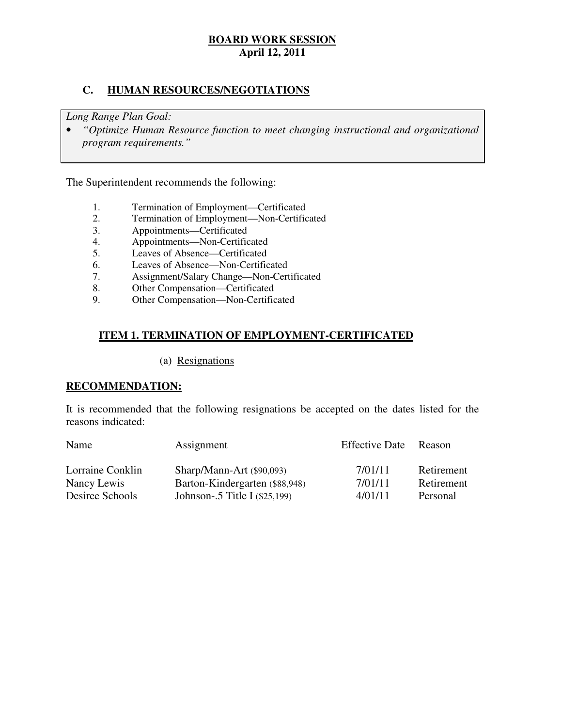### **C. HUMAN RESOURCES/NEGOTIATIONS**

 *Long Range Plan Goal:* 

**•** "Optimize Human Resource function to meet changing instructional and organizational *program requirements."* 

The Superintendent recommends the following:

- 1. Termination of Employment—Certificated<br>2. Termination of Employment—Non-Certific
- 2. Termination of Employment—Non-Certificated
- 3. Appointments—Certificated
- 4. Appointments—Non-Certificated
- 5. Leaves of Absence—Certificated
- 6. Leaves of Absence—Non-Certificated
- 7. Assignment/Salary Change—Non-Certificated
- 8. Other Compensation—Certificated
- 9. Other Compensation—Non-Certificated

### **ITEM 1. TERMINATION OF EMPLOYMENT-CERTIFICATED**

### (a) Resignations

### **RECOMMENDATION:**

 It is recommended that the following resignations be accepted on the dates listed for the reasons indicated:

| <b>Name</b>      | Assignment                     | <b>Effective Date</b> | Reason     |
|------------------|--------------------------------|-----------------------|------------|
| Lorraine Conklin | $Sharp/Mann-Art$ (\$90,093)    | 7/01/11               | Retirement |
| Nancy Lewis      | Barton-Kindergarten (\$88,948) | 7/01/11               | Retirement |
| Desiree Schools  | Johnson-.5 Title I (\$25,199)  | 4/01/11               | Personal   |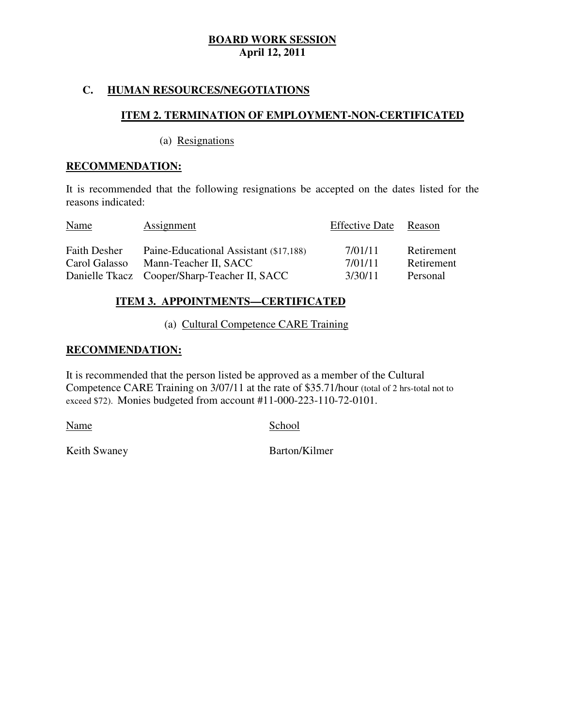### **C. HUMAN RESOURCES/NEGOTIATIONS**

### **ITEM 2. TERMINATION OF EMPLOYMENT-NON-CERTIFICATED**

(a) Resignations

### **RECOMMENDATION:**

 It is recommended that the following resignations be accepted on the dates listed for the reasons indicated:

| <b>Name</b>         | Assignment                                   | <b>Effective Date</b> | Reason     |
|---------------------|----------------------------------------------|-----------------------|------------|
| <b>Faith Desher</b> | Paine-Educational Assistant (\$17,188)       | 7/01/11               | Retirement |
| Carol Galasso       | Mann-Teacher II, SACC                        | 7/01/11               | Retirement |
|                     | Danielle Tkacz Cooper/Sharp-Teacher II, SACC | 3/30/11               | Personal   |

### **ITEM 3. APPOINTMENTS—CERTIFICATED**

(a) Cultural Competence CARE Training

### **RECOMMENDATION:**

 It is recommended that the person listed be approved as a member of the Cultural Competence CARE Training on 3/07/11 at the rate of \$35.71/hour (total of 2 hrs-total not to exceed \$72). Monies budgeted from account #11-000-223-110-72-0101.

Name School

Keith Swaney **Barton/Kilmer**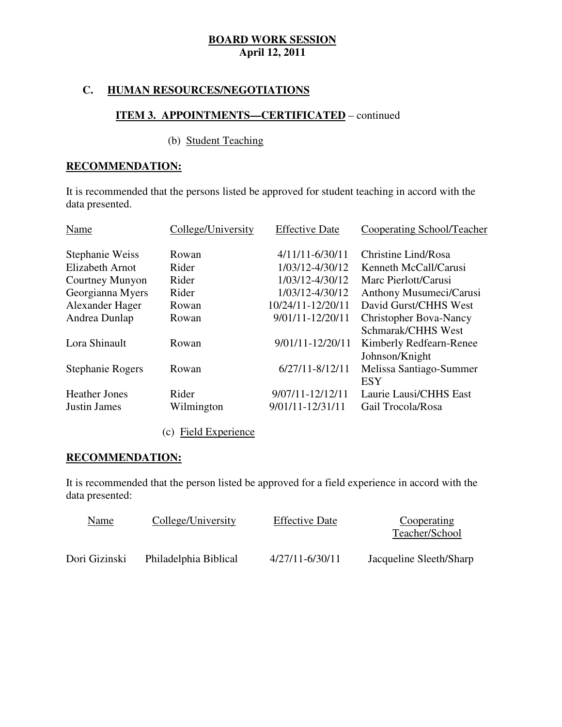### **C. HUMAN RESOURCES/NEGOTIATIONS**

### **ITEM 3. APPOINTMENTS—CERTIFICATED** – continued

### (b) Student Teaching

### **RECOMMENDATION:**

 It is recommended that the persons listed be approved for student teaching in accord with the data presented.

| Name                    | College/University | <b>Effective Date</b> | <b>Cooperating School/Teacher</b> |
|-------------------------|--------------------|-----------------------|-----------------------------------|
| Stephanie Weiss         | Rowan              | $4/11/11 - 6/30/11$   | Christine Lind/Rosa               |
| <b>Elizabeth Arnot</b>  | Rider              | 1/03/12-4/30/12       | Kenneth McCall/Carusi             |
| Courtney Munyon         | Rider              | 1/03/12-4/30/12       | Marc Pierlott/Carusi              |
| Georgianna Myers        | Rider              | 1/03/12-4/30/12       | Anthony Musumeci/Carusi           |
| Alexander Hager         | Rowan              | 10/24/11-12/20/11     | David Gurst/CHHS West             |
| Andrea Dunlap           | Rowan              | 9/01/11-12/20/11      | <b>Christopher Bova-Nancy</b>     |
|                         |                    |                       | Schmarak/CHHS West                |
| Lora Shinault           | Rowan              | 9/01/11-12/20/11      | Kimberly Redfearn-Renee           |
|                         |                    |                       | Johnson/Knight                    |
| <b>Stephanie Rogers</b> | Rowan              | $6/27/11 - 8/12/11$   | Melissa Santiago-Summer           |
|                         |                    |                       | <b>ESY</b>                        |
| <b>Heather Jones</b>    | Rider              | $9/07/11 - 12/12/11$  | Laurie Lausi/CHHS East            |
| <b>Justin James</b>     | Wilmington         | 9/01/11-12/31/11      | Gail Trocola/Rosa                 |
|                         |                    |                       |                                   |

### (c) Field Experience

### **RECOMMENDATION:**

 It is recommended that the person listed be approved for a field experience in accord with the data presented:

| <u>Name</u>   | College/University    | <b>Effective Date</b> | Cooperating<br>Teacher/School |
|---------------|-----------------------|-----------------------|-------------------------------|
| Dori Gizinski | Philadelphia Biblical | $4/27/11 - 6/30/11$   | Jacqueline Sleeth/Sharp       |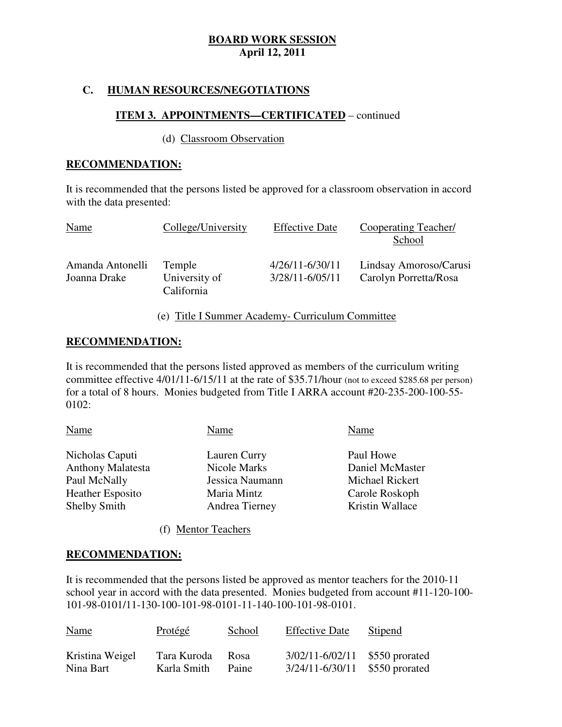### **C. HUMAN RESOURCES/NEGOTIATIONS**

### **ITEM 3. APPOINTMENTS—CERTIFICATED** – continued

### (d) Classroom Observation

### **RECOMMENDATION:**

 It is recommended that the persons listed be approved for a classroom observation in accord with the data presented:

| <b>Name</b>                      | College/University                    | <b>Effective Date</b>                  | Cooperating Teacher/<br>School                  |
|----------------------------------|---------------------------------------|----------------------------------------|-------------------------------------------------|
| Amanda Antonelli<br>Joanna Drake | Temple<br>University of<br>California | $4/26/11 - 6/30/11$<br>3/28/11-6/05/11 | Lindsay Amoroso/Carusi<br>Carolyn Porretta/Rosa |

### (e) Title I Summer Academy- Curriculum Committee

### **RECOMMENDATION:**

 It is recommended that the persons listed approved as members of the curriculum writing committee effective 4/01/11-6/15/11 at the rate of \$35.71/hour (not to exceed \$285.68 per person) for a total of 8 hours. Monies budgeted from Title I ARRA account #20-235-200-100-55 0102:

| Name                     | Name            | Name            |
|--------------------------|-----------------|-----------------|
| Nicholas Caputi          | Lauren Curry    | Paul Howe       |
| <b>Anthony Malatesta</b> | Nicole Marks    | Daniel McMaster |
| Paul McNally             | Jessica Naumann | Michael Rickert |
| <b>Heather Esposito</b>  | Maria Mintz     | Carole Roskoph  |
| <b>Shelby Smith</b>      | Andrea Tierney  | Kristin Wallace |
|                          |                 |                 |

(f) Mentor Teachers

### **RECOMMENDATION:**

 It is recommended that the persons listed be approved as mentor teachers for the 2010-11 school year in accord with the data presented. Monies budgeted from account #11-120-100 101-98-0101/11-130-100-101-98-0101-11-140-100-101-98-0101.

| <b>Name</b>     | Protégé     | School | <b>Effective Date</b>          | <b>Stipend</b> |
|-----------------|-------------|--------|--------------------------------|----------------|
| Kristina Weigel | Tara Kuroda | Rosa   | $3/02/11 - 6/02/11$            | \$550 prorated |
| Nina Bart       | Karla Smith | Paine  | 3/24/11-6/30/11 \$550 prorated |                |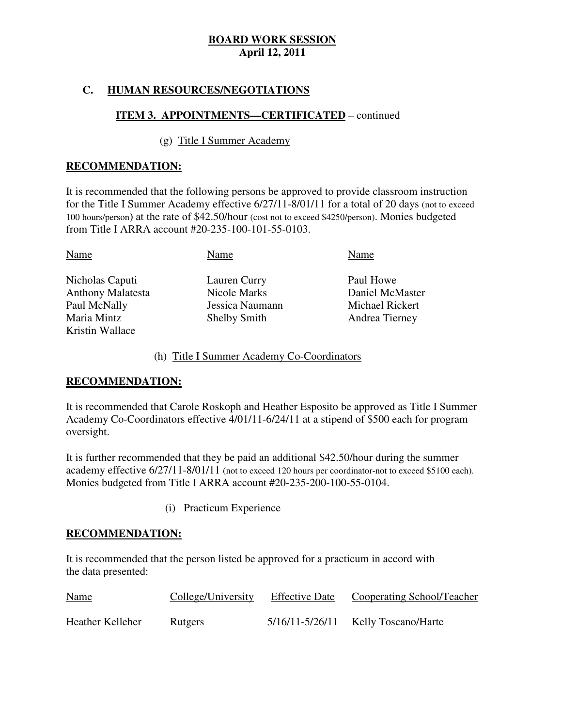### **C. HUMAN RESOURCES/NEGOTIATIONS**

### **ITEM 3. APPOINTMENTS—CERTIFICATED** – continued

### (g) Title I Summer Academy

### **RECOMMENDATION:**

 It is recommended that the following persons be approved to provide classroom instruction for the Title I Summer Academy effective 6/27/11-8/01/11 for a total of 20 days (not to exceed 100 hours/person) at the rate of \$42.50/hour (cost not to exceed \$4250/person). Monies budgeted from Title I ARRA account #20-235-100-101-55-0103.

| Name                     | Name                | Name            |
|--------------------------|---------------------|-----------------|
| Nicholas Caputi          | Lauren Curry        | Paul Howe       |
| <b>Anthony Malatesta</b> | Nicole Marks        | Daniel McMaster |
| Paul McNally             | Jessica Naumann     | Michael Rickert |
| Maria Mintz              | <b>Shelby Smith</b> | Andrea Tierney  |
| Kristin Wallace          |                     |                 |

### (h) Title I Summer Academy Co-Coordinators

### **RECOMMENDATION:**

 It is recommended that Carole Roskoph and Heather Esposito be approved as Title I Summer Academy Co-Coordinators effective 4/01/11-6/24/11 at a stipend of \$500 each for program oversight.

oversight.<br>It is further recommended that they be paid an additional \$42.50/hour during the summer academy effective 6/27/11-8/01/11 (not to exceed 120 hours per coordinator-not to exceed \$5100 each). Monies budgeted from Title I ARRA account #20-235-200-100-55-0104.

(i) Practicum Experience

### **RECOMMENDATION:**

 It is recommended that the person listed be approved for a practicum in accord with the data presented:

| <b>Name</b>      | College/University | <b>Effective Date</b> | Cooperating School/Teacher              |
|------------------|--------------------|-----------------------|-----------------------------------------|
| Heather Kelleher | Rutgers            |                       | $5/16/11 - 5/26/11$ Kelly Toscano/Harte |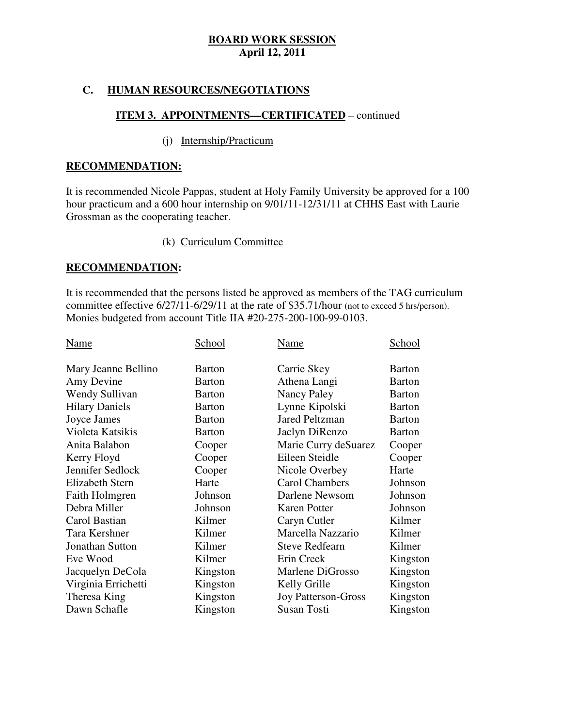### **C. HUMAN RESOURCES/NEGOTIATIONS**

### **ITEM 3. APPOINTMENTS—CERTIFICATED** – continued

### (j) Internship/Practicum

### **RECOMMENDATION:**

 It is recommended Nicole Pappas, student at Holy Family University be approved for a 100 hour practicum and a 600 hour internship on 9/01/11-12/31/11 at CHHS East with Laurie Grossman as the cooperating teacher.

### (k) Curriculum Committee

### **RECOMMENDATION:**

 It is recommended that the persons listed be approved as members of the TAG curriculum committee effective 6/27/11-6/29/11 at the rate of \$35.71/hour (not to exceed 5 hrs/person). Monies budgeted from account Title IIA #20-275-200-100-99-0103.

| Name                   | School        | Name                       | <u>School</u> |
|------------------------|---------------|----------------------------|---------------|
| Mary Jeanne Bellino    | <b>Barton</b> | Carrie Skey                | <b>Barton</b> |
| Amy Devine             | Barton        | Athena Langi               | <b>Barton</b> |
| Wendy Sullivan         | <b>Barton</b> | Nancy Paley                | <b>Barton</b> |
| <b>Hilary Daniels</b>  | Barton        | Lynne Kipolski             | Barton        |
| Joyce James            | <b>Barton</b> | <b>Jared Peltzman</b>      | <b>Barton</b> |
| Violeta Katsikis       | <b>Barton</b> | Jaclyn DiRenzo             | <b>Barton</b> |
| Anita Balabon          | Cooper        | Marie Curry deSuarez       | Cooper        |
| Kerry Floyd            | Cooper        | Eileen Steidle             | Cooper        |
| Jennifer Sedlock       | Cooper        | Nicole Overbey             | Harte         |
| Elizabeth Stern        | Harte         | <b>Carol Chambers</b>      | Johnson       |
| Faith Holmgren         | Johnson       | Darlene Newsom             | Johnson       |
| Debra Miller           | Johnson       | Karen Potter               | Johnson       |
| Carol Bastian          | Kilmer        | Caryn Cutler               | Kilmer        |
| Tara Kershner          | Kilmer        | Marcella Nazzario          | Kilmer        |
| <b>Jonathan Sutton</b> | Kilmer        | <b>Steve Redfearn</b>      | Kilmer        |
| Eve Wood               | Kilmer        | Erin Creek                 | Kingston      |
| Jacquelyn DeCola       | Kingston      | Marlene DiGrosso           | Kingston      |
| Virginia Errichetti    | Kingston      | Kelly Grille               | Kingston      |
| Theresa King           | Kingston      | <b>Joy Patterson-Gross</b> | Kingston      |
| Dawn Schafle           | Kingston      | <b>Susan Tosti</b>         | Kingston      |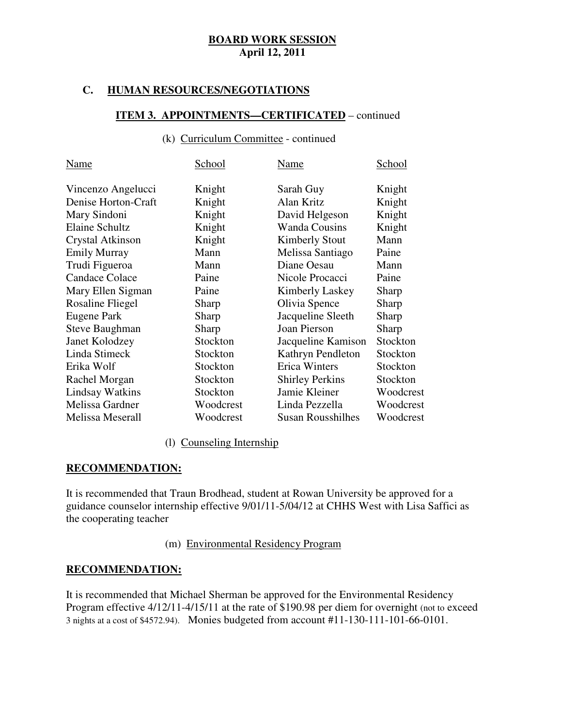### **C. HUMAN RESOURCES/NEGOTIATIONS**

### **ITEM 3. APPOINTMENTS—CERTIFICATED** – continued

### (k) Curriculum Committee - continued

| Name                    | School    | Name                     | School    |
|-------------------------|-----------|--------------------------|-----------|
| Vincenzo Angelucci      | Knight    | Sarah Guy                | Knight    |
| Denise Horton-Craft     | Knight    | Alan Kritz               | Knight    |
| Mary Sindoni            | Knight    | David Helgeson           | Knight    |
| Elaine Schultz          | Knight    | <b>Wanda Cousins</b>     | Knight    |
| <b>Crystal Atkinson</b> | Knight    | <b>Kimberly Stout</b>    | Mann      |
| <b>Emily Murray</b>     | Mann      | Melissa Santiago         | Paine     |
| Trudi Figueroa          | Mann      | Diane Oesau              | Mann      |
| <b>Candace Colace</b>   | Paine     | Nicole Procacci          | Paine     |
| Mary Ellen Sigman       | Paine     | Kimberly Laskey          | Sharp     |
| Rosaline Fliegel        | Sharp     | Olivia Spence            | Sharp     |
| Eugene Park             | Sharp     | Jacqueline Sleeth        | Sharp     |
| Steve Baughman          | Sharp     | Joan Pierson             | Sharp     |
| Janet Kolodzey          | Stockton  | Jacqueline Kamison       | Stockton  |
| Linda Stimeck           | Stockton  | Kathryn Pendleton        | Stockton  |
| Erika Wolf              | Stockton  | <b>Erica Winters</b>     | Stockton  |
| Rachel Morgan           | Stockton  | <b>Shirley Perkins</b>   | Stockton  |
| <b>Lindsay Watkins</b>  | Stockton  | Jamie Kleiner            | Woodcrest |
| Melissa Gardner         | Woodcrest | Linda Pezzella           | Woodcrest |
| Melissa Meserall        | Woodcrest | <b>Susan Rousshilhes</b> | Woodcrest |

### (l) Counseling Internship

### **RECOMMENDATION:**

 It is recommended that Traun Brodhead, student at Rowan University be approved for a guidance counselor internship effective 9/01/11-5/04/12 at CHHS West with Lisa Saffici as the cooperating teacher

### (m) Environmental Residency Program

### **RECOMMENDATION:**

 It is recommended that Michael Sherman be approved for the Environmental Residency Program effective 4/12/11-4/15/11 at the rate of \$190.98 per diem for overnight (not to exceed 3 nights at a cost of \$4572.94). Monies budgeted from account #11-130-111-101-66-0101.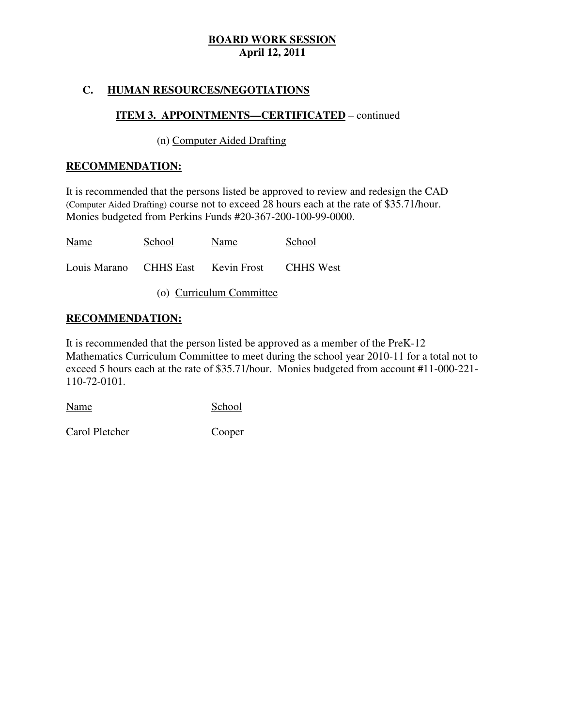### **C. HUMAN RESOURCES/NEGOTIATIONS**

### **ITEM 3. APPOINTMENTS—CERTIFICATED** – continued

### (n) Computer Aided Drafting

### **RECOMMENDATION:**

 It is recommended that the persons listed be approved to review and redesign the CAD (Computer Aided Drafting) course not to exceed 28 hours each at the rate of \$35.71/hour. Monies budgeted from Perkins Funds #20-367-200-100-99-0000.

| <b>Name</b>                        | School | Name | School           |
|------------------------------------|--------|------|------------------|
| Louis Marano CHHS East Kevin Frost |        |      | <b>CHHS</b> West |

(o) Curriculum Committee

### **RECOMMENDATION:**

 It is recommended that the person listed be approved as a member of the PreK-12 Mathematics Curriculum Committee to meet during the school year 2010-11 for a total not to exceed 5 hours each at the rate of \$35.71/hour. Monies budgeted from account #11-000-221 110-72-0101.

Name School

Carol Pletcher Cooper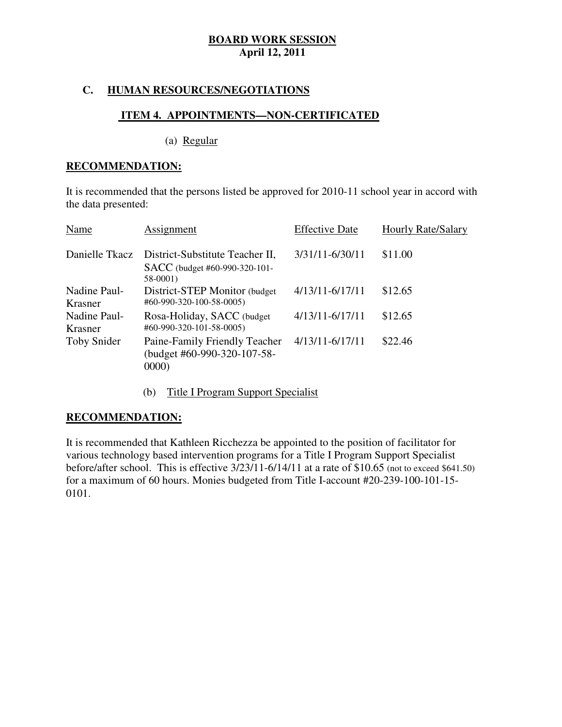### **C. HUMAN RESOURCES/NEGOTIATIONS**

### **ITEM 4. APPOINTMENTS—NON-CERTIFICATED**

(a) Regular

### **RECOMMENDATION:**

 It is recommended that the persons listed be approved for 2010-11 school year in accord with the data presented:

| Name                    | Assignment                                                                    | <b>Effective Date</b> | Hourly Rate/Salary |
|-------------------------|-------------------------------------------------------------------------------|-----------------------|--------------------|
| Danielle Tkacz          | District-Substitute Teacher II,<br>SACC (budget #60-990-320-101-<br>$58-0001$ | 3/31/11-6/30/11       | \$11.00            |
| Nadine Paul-<br>Krasner | District-STEP Monitor (budget<br>#60-990-320-100-58-0005)                     | $4/13/11 - 6/17/11$   | \$12.65            |
| Nadine Paul-<br>Krasner | Rosa-Holiday, SACC (budget<br>#60-990-320-101-58-0005)                        | $4/13/11 - 6/17/11$   | \$12.65            |
| Toby Snider             | Paine-Family Friendly Teacher<br>(budget #60-990-320-107-58-<br>0000          | $4/13/11 - 6/17/11$   | \$22.46            |

(b) Title I Program Support Specialist

### **RECOMMENDATION:**

 It is recommended that Kathleen Ricchezza be appointed to the position of facilitator for various technology based intervention programs for a Title I Program Support Specialist before/after school. This is effective 3/23/11-6/14/11 at a rate of \$10.65 (not to exceed \$641.50) for a maximum of 60 hours. Monies budgeted from Title I-account #20-239-100-101-15 0101.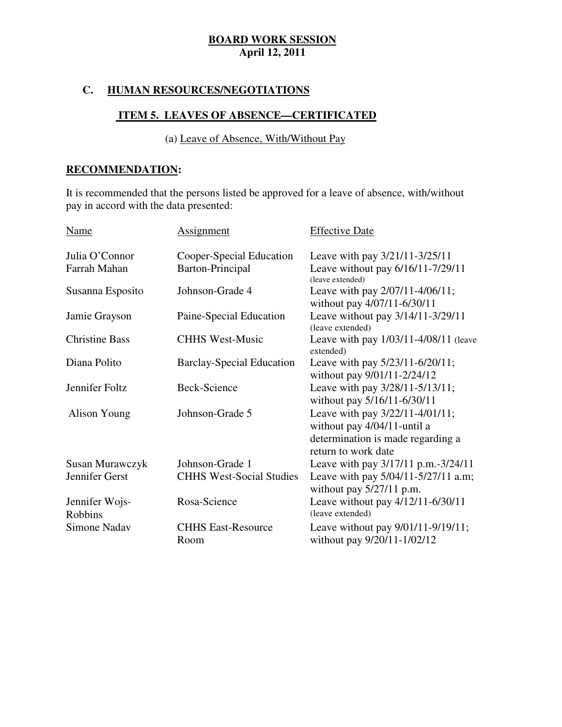### **C. HUMAN RESOURCES/NEGOTIATIONS**

### **ITEM 5. LEAVES OF ABSENCE—CERTIFICATED**

(a) Leave of Absence, With/Without Pay

### **RECOMMENDATION:**

 It is recommended that the persons listed be approved for a leave of absence, with/without pay in accord with the data presented:

| Name                             | <b>Assignment</b>                 | <b>Effective Date</b>                                                                                                      |
|----------------------------------|-----------------------------------|----------------------------------------------------------------------------------------------------------------------------|
| Julia O'Connor                   | Cooper-Special Education          | Leave with pay 3/21/11-3/25/11                                                                                             |
| Farrah Mahan                     | Barton-Principal                  | Leave without pay 6/16/11-7/29/11<br>(leave extended)                                                                      |
| Susanna Esposito                 | Johnson-Grade 4                   | Leave with pay 2/07/11-4/06/11;<br>without pay 4/07/11-6/30/11                                                             |
| Jamie Grayson                    | Paine-Special Education           | Leave without pay 3/14/11-3/29/11<br>(leave extended)                                                                      |
| <b>Christine Bass</b>            | <b>CHHS West-Music</b>            | Leave with pay 1/03/11-4/08/11 (leave<br>extended)                                                                         |
| Diana Polito                     | <b>Barclay-Special Education</b>  | Leave with pay 5/23/11-6/20/11;<br>without pay 9/01/11-2/24/12                                                             |
| Jennifer Foltz                   | Beck-Science                      | Leave with pay 3/28/11-5/13/11;<br>without pay 5/16/11-6/30/11                                                             |
| <b>Alison Young</b>              | Johnson-Grade 5                   | Leave with pay 3/22/11-4/01/11;<br>without pay 4/04/11-until a<br>determination is made regarding a<br>return to work date |
| Susan Murawczyk                  | Johnson-Grade 1                   | Leave with pay 3/17/11 p.m.-3/24/11                                                                                        |
| Jennifer Gerst                   | <b>CHHS West-Social Studies</b>   | Leave with pay 5/04/11-5/27/11 a.m;<br>without pay $5/27/11$ p.m.                                                          |
| Jennifer Wojs-<br><b>Robbins</b> | Rosa-Science                      | Leave without pay 4/12/11-6/30/11<br>(leave extended)                                                                      |
| Simone Nadav                     | <b>CHHS East-Resource</b><br>Room | Leave without pay 9/01/11-9/19/11;<br>without pay 9/20/11-1/02/12                                                          |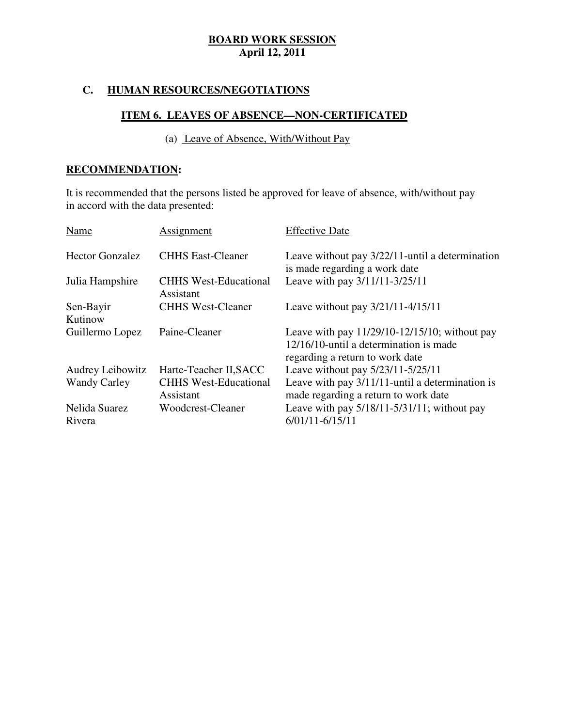### **C. HUMAN RESOURCES/NEGOTIATIONS**

### **ITEM 6. LEAVES OF ABSENCE—NON-CERTIFICATED**

(a) Leave of Absence, With/Without Pay

### **RECOMMENDATION:**

 It is recommended that the persons listed be approved for leave of absence, with/without pay in accord with the data presented:

| Assignment                                | <b>Effective Date</b>                                                                                                         |
|-------------------------------------------|-------------------------------------------------------------------------------------------------------------------------------|
| <b>CHHS East-Cleaner</b>                  | Leave without pay $3/22/11$ -until a determination<br>is made regarding a work date                                           |
| <b>CHHS West-Educational</b><br>Assistant | Leave with pay 3/11/11-3/25/11                                                                                                |
| <b>CHHS West-Cleaner</b>                  | Leave without pay $3/21/11 - 4/15/11$                                                                                         |
| Paine-Cleaner                             | Leave with pay $11/29/10-12/15/10$ ; without pay<br>12/16/10-until a determination is made<br>regarding a return to work date |
| Harte-Teacher II, SACC                    | Leave without pay 5/23/11-5/25/11                                                                                             |
| <b>CHHS West-Educational</b><br>Assistant | Leave with pay $3/11/11$ -until a determination is<br>made regarding a return to work date                                    |
| Woodcrest-Cleaner                         | Leave with pay $5/18/11 - 5/31/11$ ; without pay<br>$6/01/11 - 6/15/11$                                                       |
|                                           |                                                                                                                               |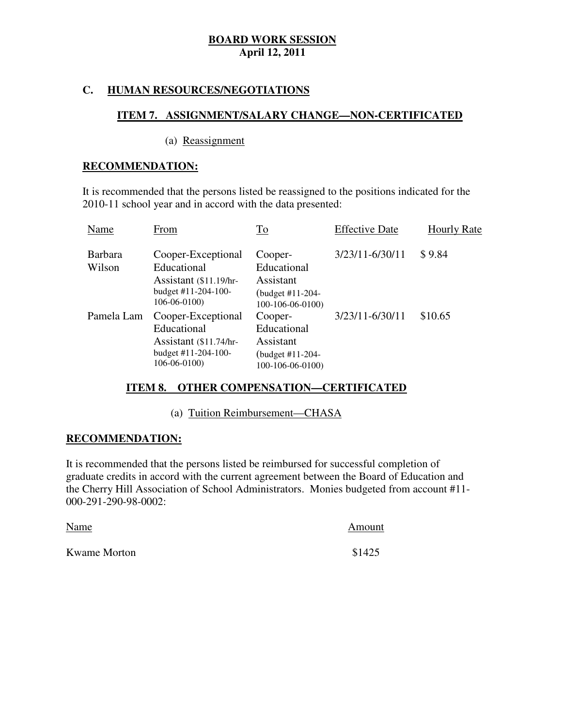### **C. HUMAN RESOURCES/NEGOTIATIONS**

### **ITEM 7. ASSIGNMENT/SALARY CHANGE—NON-CERTIFICATED**

### (a) Reassignment

### **RECOMMENDATION:**

 It is recommended that the persons listed be reassigned to the positions indicated for the 2010-11 school year and in accord with the data presented:

| Name                     | From                                                                                                     | To                                                                          | <b>Effective Date</b> | <b>Hourly Rate</b> |
|--------------------------|----------------------------------------------------------------------------------------------------------|-----------------------------------------------------------------------------|-----------------------|--------------------|
| <b>Barbara</b><br>Wilson | Cooper-Exceptional<br>Educational<br>Assistant $(\$11.19/hr$<br>budget #11-204-100-<br>$106 - 06 - 0100$ | Cooper-<br>Educational<br>Assistant<br>(budget #11-204-<br>100-106-06-0100) | 3/23/11-6/30/11       | \$9.84             |
| Pamela Lam               | Cooper-Exceptional<br>Educational<br>Assistant $($11.74/hr$<br>budget #11-204-100-<br>$106 - 06 - 0100$  | Cooper-<br>Educational<br>Assistant<br>(budget #11-204-<br>100-106-06-0100) | 3/23/11-6/30/11       | \$10.65            |

### **ITEM 8. OTHER COMPENSATION—CERTIFICATED**

(a) Tuition Reimbursement—CHASA

### **RECOMMENDATION:**

 It is recommended that the persons listed be reimbursed for successful completion of graduate credits in accord with the current agreement between the Board of Education and the Cherry Hill Association of School Administrators. Monies budgeted from account #11 000-291-290-98-0002:

Kwame Morton \$1425 Name Amount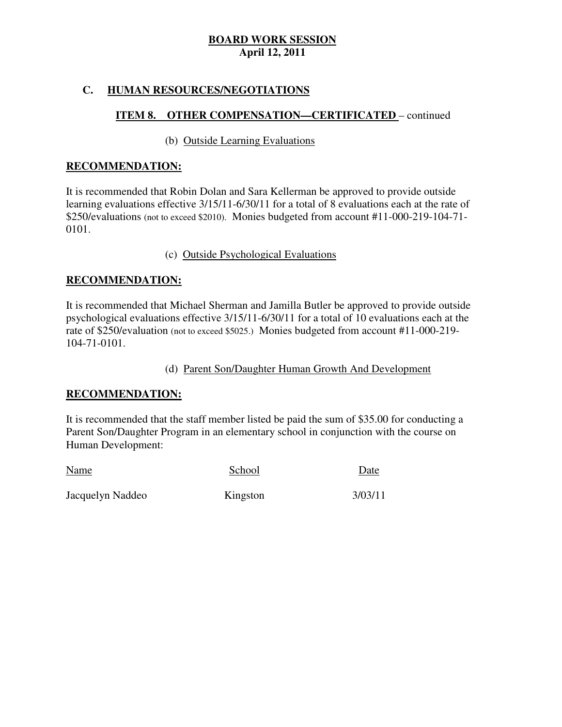### **C. HUMAN RESOURCES/NEGOTIATIONS**

## **ITEM 8. OTHER COMPENSATION—CERTIFICATED** – continued

### (b) Outside Learning Evaluations

### **RECOMMENDATION:**

 It is recommended that Robin Dolan and Sara Kellerman be approved to provide outside learning evaluations effective 3/15/11-6/30/11 for a total of 8 evaluations each at the rate of \$250/evaluations (not to exceed \$2010). Monies budgeted from account #11-000-219-104-71  $0101.$ 

### 0101. (c) Outside Psychological Evaluations

## **RECOMMENDATION:**

 It is recommended that Michael Sherman and Jamilla Butler be approved to provide outside psychological evaluations effective 3/15/11-6/30/11 for a total of 10 evaluations each at the rate of \$250/evaluation (not to exceed \$5025.) Monies budgeted from account #11-000-219 104-71-0101.

### (d) Parent Son/Daughter Human Growth And Development

### **RECOMMENDATION:**

 It is recommended that the staff member listed be paid the sum of \$35.00 for conducting a Parent Son/Daughter Program in an elementary school in conjunction with the course on Human Development:

| Name             | School   | Date    |
|------------------|----------|---------|
| Jacquelyn Naddeo | Kingston | 3/03/11 |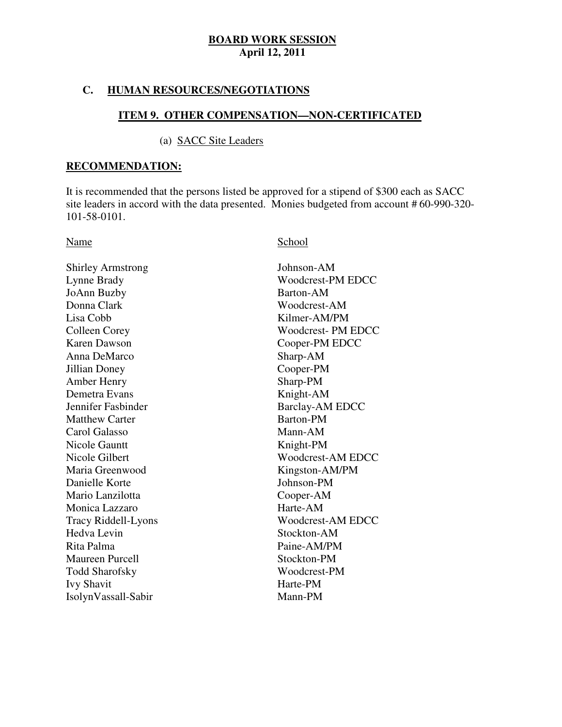### **C. HUMAN RESOURCES/NEGOTIATIONS**

### **ITEM 9. OTHER COMPENSATION—NON-CERTIFICATED**

### (a) SACC Site Leaders

### **RECOMMENDATION:**

 It is recommended that the persons listed be approved for a stipend of \$300 each as SACC site leaders in accord with the data presented. Monies budgeted from account # 60-990-320 101-58-0101.

Shirley Armstrong Johnson-AM Lynne Brady JoAnn Buzby Barton-AM Donna Clark Lisa Cobb **Colleen Corey Karen Dawson**  Anna DeMarco Sharp-AM Jillian Doney Cooper-PM Amber Henry Sharp-PM Demetra Evans Knight-AM Jennifer Fashinder Matthew Carter **Barton-PM**  Carol Galasso Mann-AM Nicole Gauntt **Knight-PM** Nicole Gilbert Maria Greenwood Danielle Korte Johnson-PM Mario Lanzilotta Cooper-AM Monica Lazzaro **Harte-AM** Hedva Levin Rita Palma Maureen Purcell Stockton-PM Todd Sharofsky Woodcrest-PM Ivy Shavit Harte-PM Tracy Riddell-Lyons IsolynVassall-Sabir Mann-PM

### Name School

Woodcrest-AM EDCC Woodcrest-PM EDCC Woodcrest-AM Kilmer-AM/PM Woodcrest- PM EDCC Cooper-PM EDCC Barclay-AM EDCC Woodcrest-AM EDCC Kingston-AM/PM Stockton-AM Paine-AM/PM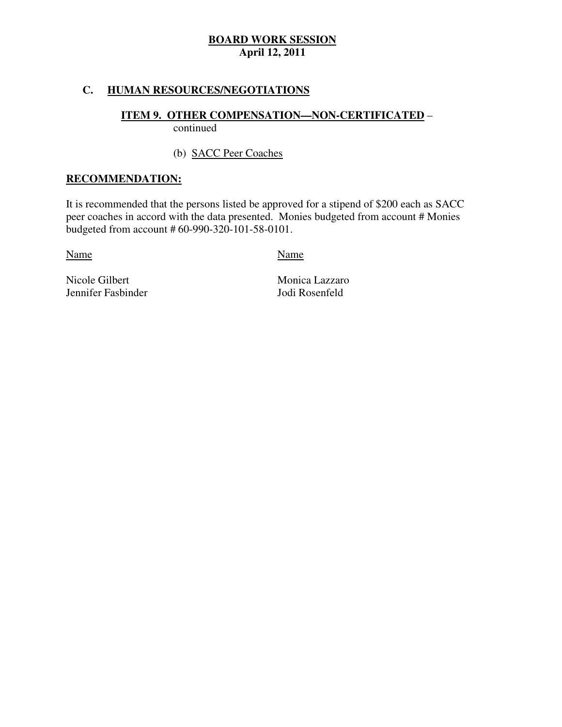### **C. HUMAN RESOURCES/NEGOTIATIONS**

# **ITEM 9. OTHER COMPENSATION—NON-CERTIFICATED** –

continued

# (b) SACC Peer Coaches

### **RECOMMENDATION:**

 It is recommended that the persons listed be approved for a stipend of \$200 each as SACC peer coaches in accord with the data presented. Monies budgeted from account # Monies budgeted from account # 60-990-320-101-58-0101.

Name Name Name

Nicole Gilbert Jennifer Fasbinder Jodi Rosenfeld

Monica Lazzaro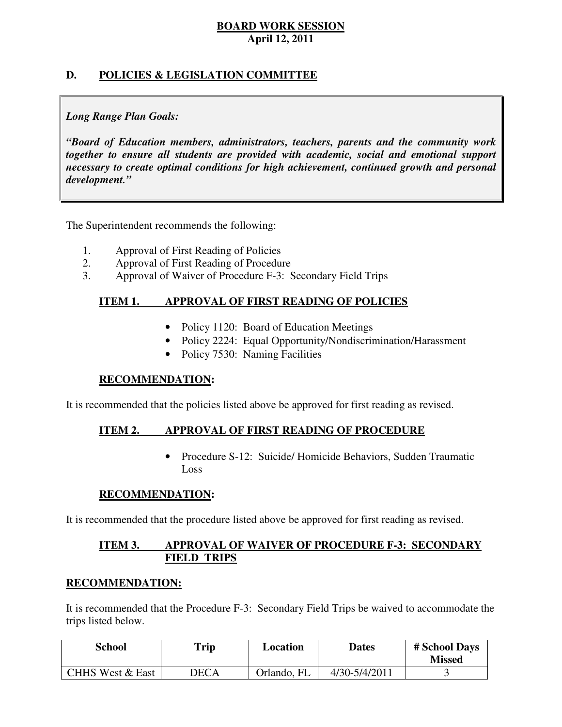### **D. POLICIES & LEGISLATION COMMITTEE**

### *Long Range Plan Goals:*

 *"Board of Education members, administrators, teachers, parents and the community work together to ensure all students are provided with academic, social and emotional support necessary to create optimal conditions for high achievement, continued growth and personal development."* 

The Superintendent recommends the following:

- 1. Approval of First Reading of Policies
- 2. Approval of First Reading of Procedure
- 3. Approval of Waiver of Procedure F-3: Secondary Field Trips

#### **ITEM 1. APPROVAL OF FIRST READING OF POLICIES**

- Policy 1120: Board of Education Meetings
- • Policy 2224: Equal Opportunity/Nondiscrimination/Harassment
- Policy 7530: Naming Facilities

### **RECOMMENDATION:**

It is recommended that the policies listed above be approved for first reading as revised.

#### **ITEM 2. APPROVAL OF FIRST READING OF PROCEDURE**

 • Procedure S-12: Suicide/ Homicide Behaviors, Sudden Traumatic Loss

### **RECOMMENDATION:**

It is recommended that the procedure listed above be approved for first reading as revised.

### **ITEM 3. FIELD TRIPS APPROVAL OF WAIVER OF PROCEDURE F-3: SECONDARY**

### **RECOMMENDATION:**

 It is recommended that the Procedure F-3: Secondary Field Trips be waived to accommodate the trips listed below.

| <b>School</b>               | Trip | Location    | Dates         | # School Days<br><b>Missed</b> |
|-----------------------------|------|-------------|---------------|--------------------------------|
| <b>CHHS West &amp; East</b> | DECA | Orlando, FL | 4/30-5/4/2011 |                                |